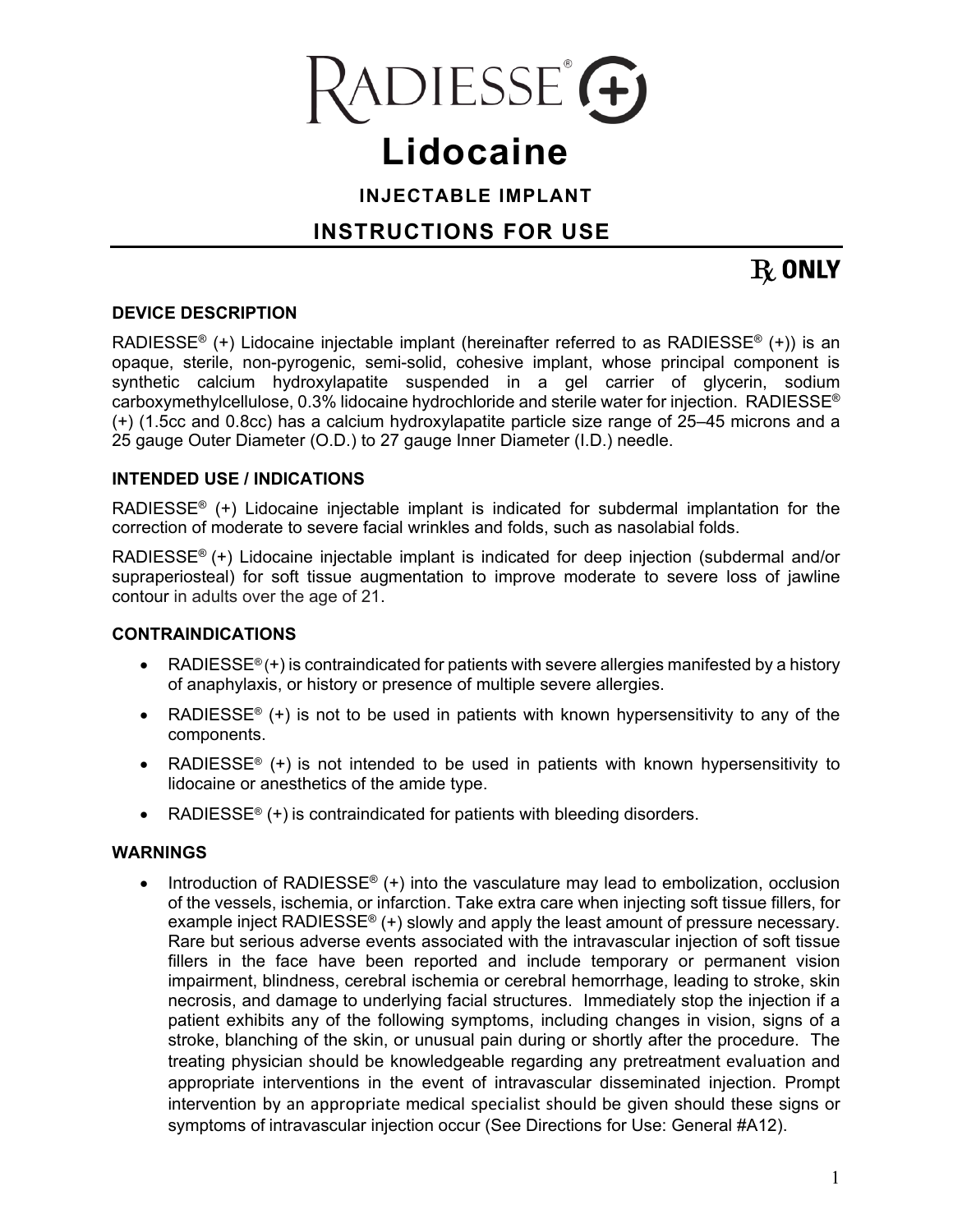

# **Lidocaine**

**INJECTABLE IMPLANT** 

## **INSTRUCTIONS FOR USE**

## $R$  ONLY

#### **DEVICE DESCRIPTION**

RADIESSE® (+) Lidocaine injectable implant (hereinafter referred to as RADIESSE® (+)) is an opaque, sterile, non-pyrogenic, semi-solid, cohesive implant, whose principal component is synthetic calcium hydroxylapatite suspended in a gel carrier of glycerin, sodium carboxymethylcellulose, 0.3% lidocaine hydrochloride and sterile water for injection. RADIESSE® (+) (1.5cc and 0.8cc) has a calcium hydroxylapatite particle size range of 25–45 microns and a 25 gauge Outer Diameter (O.D.) to 27 gauge Inner Diameter (I.D.) needle.

#### **INTENDED USE / INDICATIONS**

RADIESSE® (+) Lidocaine injectable implant is indicated for subdermal implantation for the correction of moderate to severe facial wrinkles and folds, such as nasolabial folds.

RADIESSE® (+) Lidocaine injectable implant is indicated for deep injection (subdermal and/or supraperiosteal) for soft tissue augmentation to improve moderate to severe loss of jawline contour in adults over the age of 21.

#### **CONTRAINDICATIONS**

- RADIESSE<sup>®</sup> (+) is contraindicated for patients with severe allergies manifested by a history of anaphylaxis, or history or presence of multiple severe allergies.
- RADIESSE<sup>®</sup> (+) is not to be used in patients with known hypersensitivity to any of the components.
- RADIESSE<sup>®</sup> (+) is not intended to be used in patients with known hypersensitivity to lidocaine or anesthetics of the amide type.
- RADIESSE<sup>®</sup> (+) is contraindicated for patients with bleeding disorders.

#### **WARNINGS**

 Introduction of RADIESSE® (+) into the vasculature may lead to embolization, occlusion of the vessels, ischemia, or infarction. Take extra care when injecting soft tissue fillers, for example inject RADIESSE<sup>®</sup> (+) slowly and apply the least amount of pressure necessary. Rare but serious adverse events associated with the intravascular injection of soft tissue fillers in the face have been reported and include temporary or permanent vision impairment, blindness, cerebral ischemia or cerebral hemorrhage, leading to stroke, skin necrosis, and damage to underlying facial structures. Immediately stop the injection if a patient exhibits any of the following symptoms, including changes in vision, signs of a stroke, blanching of the skin, or unusual pain during or shortly after the procedure. The treating physician should be knowledgeable regarding any pretreatment evaluation and appropriate interventions in the event of intravascular disseminated injection. Prompt intervention by an appropriate medical specialist should be given should these signs or symptoms of intravascular injection occur (See Directions for Use: General #A12).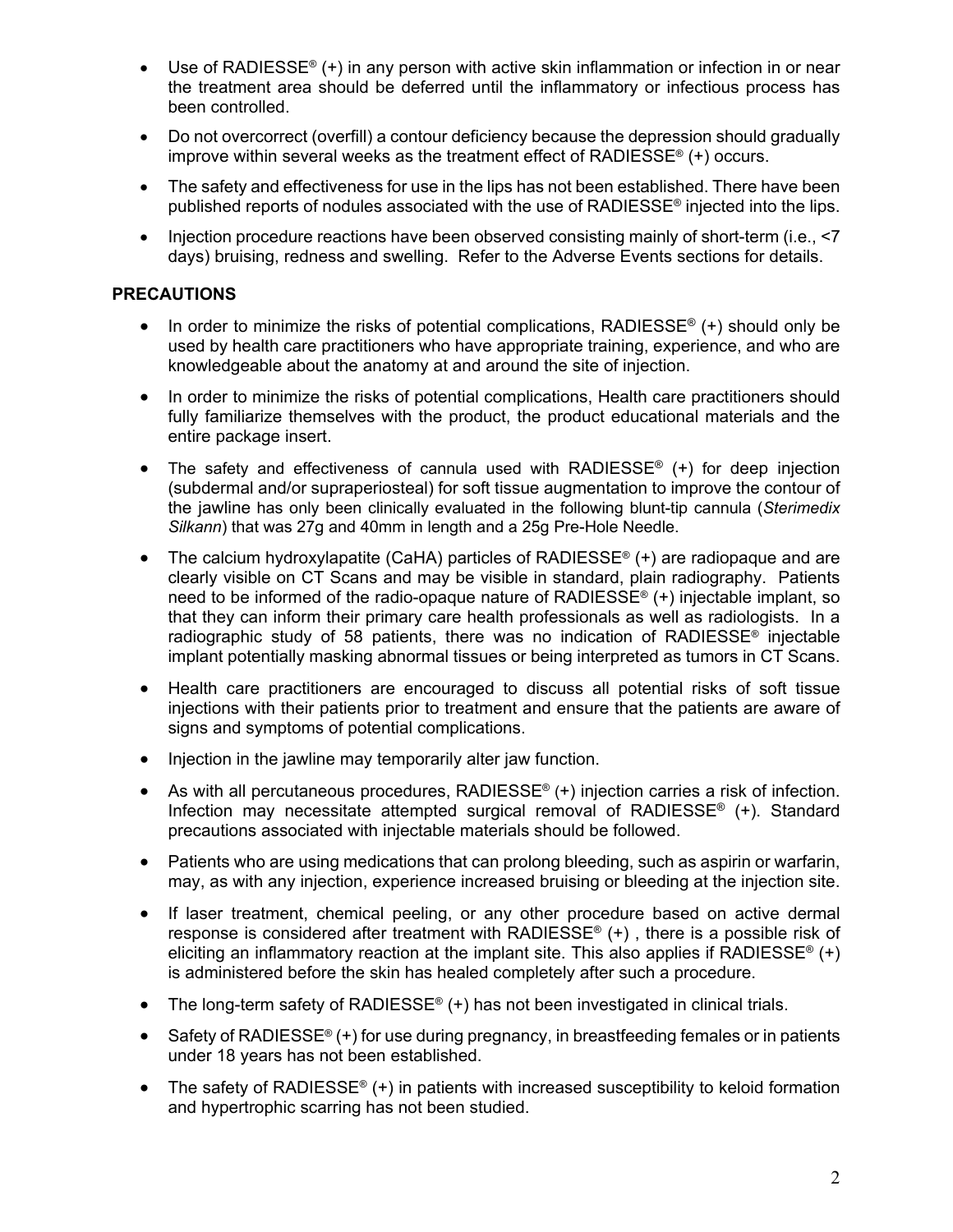- Use of RADIESSE<sup>®</sup> (+) in any person with active skin inflammation or infection in or near the treatment area should be deferred until the inflammatory or infectious process has been controlled.
- Do not overcorrect (overfill) a contour deficiency because the depression should gradually improve within several weeks as the treatment effect of RADIESSE® (+) occurs.
- The safety and effectiveness for use in the lips has not been established. There have been published reports of nodules associated with the use of RADIESSE® injected into the lips.
- Injection procedure reactions have been observed consisting mainly of short-term (i.e., <7 days) bruising, redness and swelling. Refer to the Adverse Events sections for details.

#### **PRECAUTIONS**

- In order to minimize the risks of potential complications, RADIESSE<sup>®</sup> (+) should only be used by health care practitioners who have appropriate training, experience, and who are knowledgeable about the anatomy at and around the site of injection.
- In order to minimize the risks of potential complications, Health care practitioners should fully familiarize themselves with the product, the product educational materials and the entire package insert.
- The safety and effectiveness of cannula used with RADIESSE® (+) for deep injection (subdermal and/or supraperiosteal) for soft tissue augmentation to improve the contour of the jawline has only been clinically evaluated in the following blunt-tip cannula (*Sterimedix Silkann*) that was 27g and 40mm in length and a 25g Pre-Hole Needle.
- The calcium hydroxylapatite (CaHA) particles of RADIESSE® (+) are radiopaque and are clearly visible on CT Scans and may be visible in standard, plain radiography. Patients need to be informed of the radio-opaque nature of RADIESSE® (+) injectable implant, so that they can inform their primary care health professionals as well as radiologists. In a radiographic study of 58 patients, there was no indication of RADIESSE<sup>®</sup> injectable implant potentially masking abnormal tissues or being interpreted as tumors in CT Scans.
- Health care practitioners are encouraged to discuss all potential risks of soft tissue injections with their patients prior to treatment and ensure that the patients are aware of signs and symptoms of potential complications.
- Injection in the jawline may temporarily alter jaw function.
- As with all percutaneous procedures, RADIESSE<sup>®</sup>  $(+)$  injection carries a risk of infection. Infection may necessitate attempted surgical removal of RADIESSE® (+). Standard precautions associated with injectable materials should be followed.
- Patients who are using medications that can prolong bleeding, such as aspirin or warfarin, may, as with any injection, experience increased bruising or bleeding at the injection site.
- If laser treatment, chemical peeling, or any other procedure based on active dermal response is considered after treatment with RADIESSE<sup>®</sup>  $(+)$ , there is a possible risk of eliciting an inflammatory reaction at the implant site. This also applies if RADIESSE<sup>®</sup>  $(+)$ is administered before the skin has healed completely after such a procedure.
- The long-term safety of RADIESSE<sup>®</sup>  $(+)$  has not been investigated in clinical trials.
- Safety of RADIESSE®  $(+)$  for use during pregnancy, in breastfeeding females or in patients under 18 years has not been established.
- The safety of RADIESSE<sup>®</sup> (+) in patients with increased susceptibility to keloid formation and hypertrophic scarring has not been studied.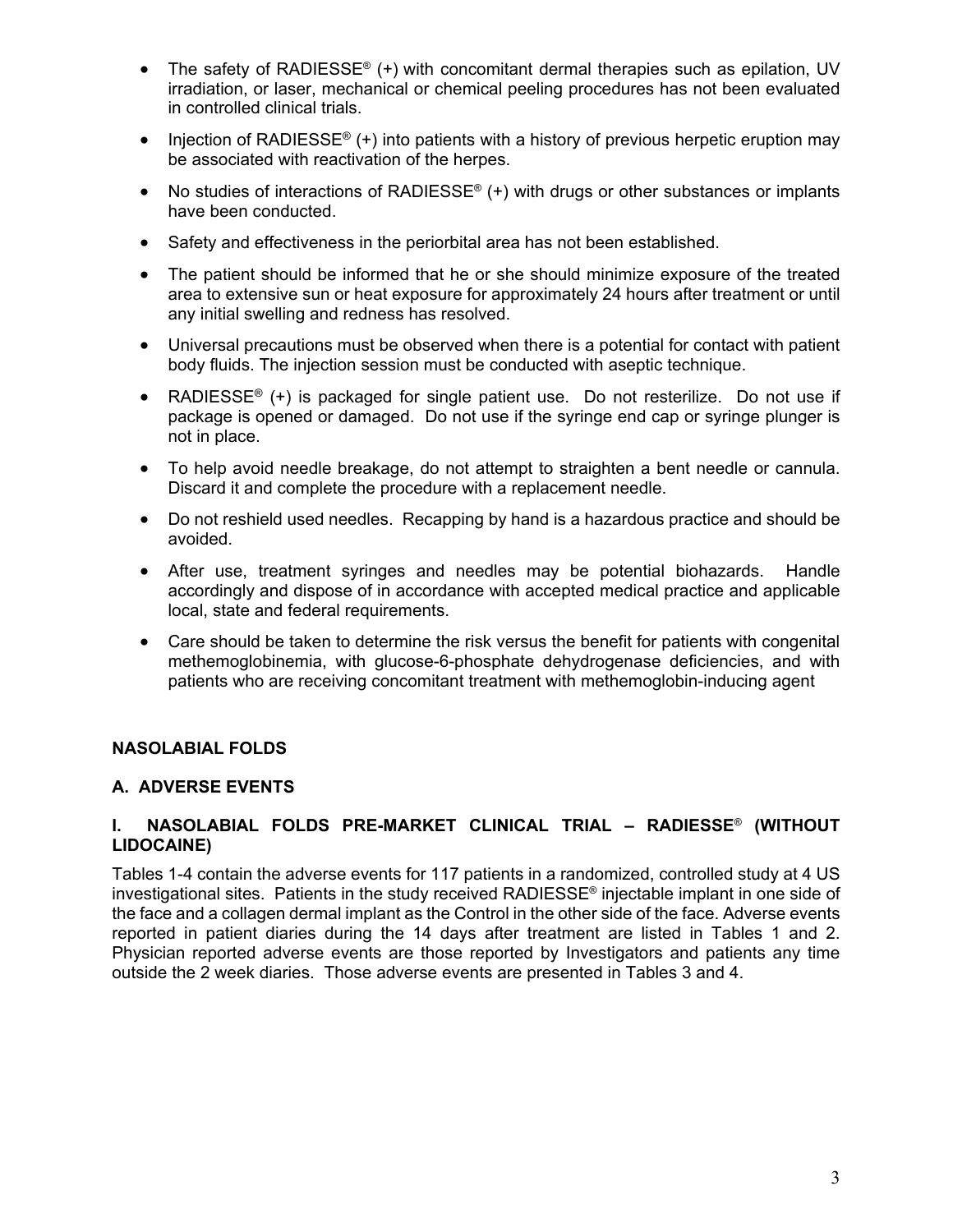- The safety of RADIESSE® (+) with concomitant dermal therapies such as epilation, UV irradiation, or laser, mechanical or chemical peeling procedures has not been evaluated in controlled clinical trials.
- Injection of RADIESSE<sup>®</sup> (+) into patients with a history of previous herpetic eruption may be associated with reactivation of the herpes.
- No studies of interactions of RADIESSE® (+) with drugs or other substances or implants have been conducted.
- Safety and effectiveness in the periorbital area has not been established.
- The patient should be informed that he or she should minimize exposure of the treated area to extensive sun or heat exposure for approximately 24 hours after treatment or until any initial swelling and redness has resolved.
- Universal precautions must be observed when there is a potential for contact with patient body fluids. The injection session must be conducted with aseptic technique.
- RADIESSE<sup>®</sup> (+) is packaged for single patient use. Do not resterilize. Do not use if package is opened or damaged. Do not use if the syringe end cap or syringe plunger is not in place.
- To help avoid needle breakage, do not attempt to straighten a bent needle or cannula. Discard it and complete the procedure with a replacement needle.
- Do not reshield used needles. Recapping by hand is a hazardous practice and should be avoided.
- After use, treatment syringes and needles may be potential biohazards. Handle accordingly and dispose of in accordance with accepted medical practice and applicable local, state and federal requirements.
- Care should be taken to determine the risk versus the benefit for patients with congenital methemoglobinemia, with glucose-6-phosphate dehydrogenase deficiencies, and with patients who are receiving concomitant treatment with methemoglobin-inducing agent

#### **NASOLABIAL FOLDS**

#### **A. ADVERSE EVENTS**

#### **I. NASOLABIAL FOLDS PRE-MARKET CLINICAL TRIAL – RADIESSE**® **(WITHOUT LIDOCAINE)**

Tables 1-4 contain the adverse events for 117 patients in a randomized, controlled study at 4 US investigational sites. Patients in the study received RADIESSE® injectable implant in one side of the face and a collagen dermal implant as the Control in the other side of the face. Adverse events reported in patient diaries during the 14 days after treatment are listed in Tables 1 and 2. Physician reported adverse events are those reported by Investigators and patients any time outside the 2 week diaries. Those adverse events are presented in Tables 3 and 4.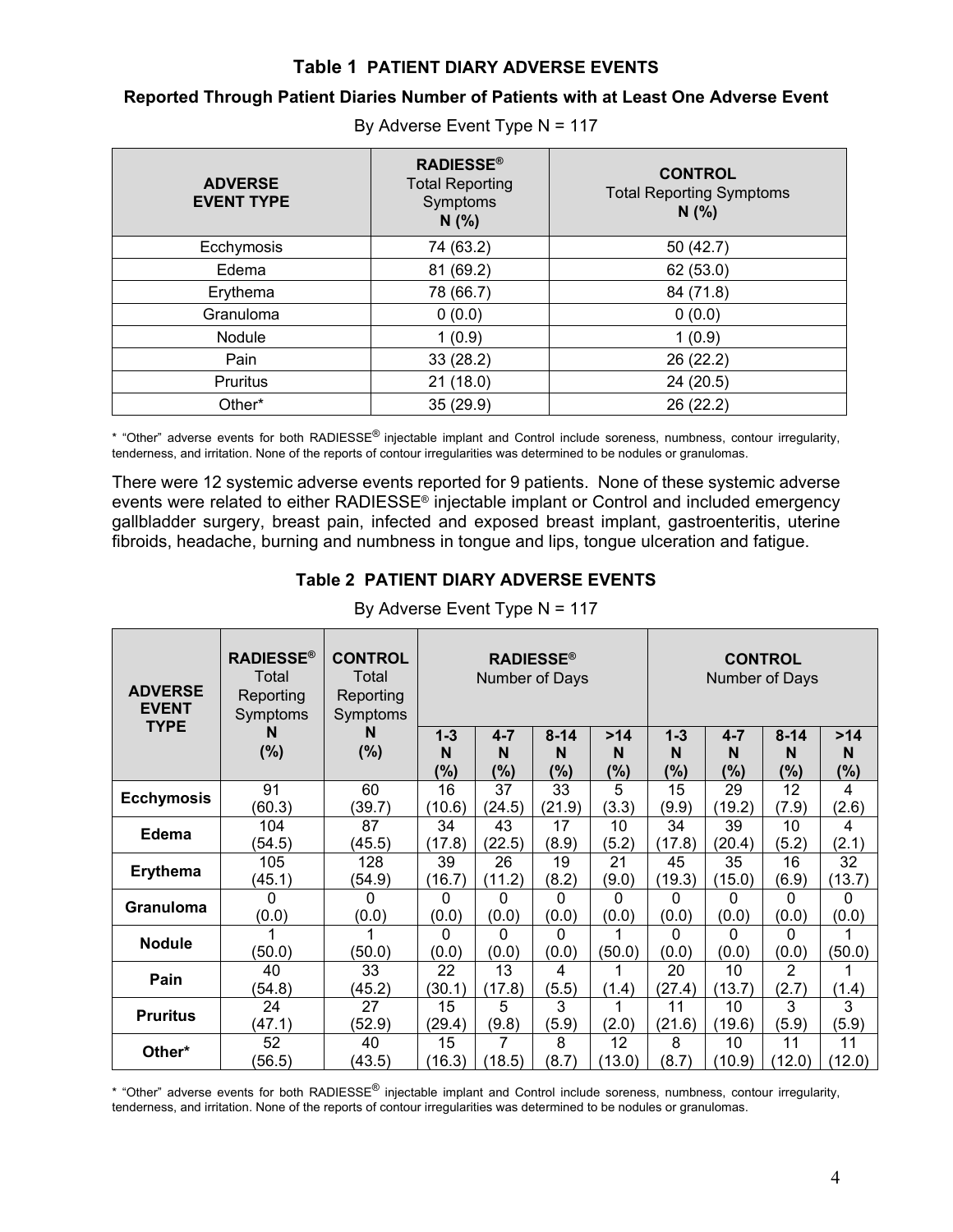#### **Table 1 PATIENT DIARY ADVERSE EVENTS**

#### **Reported Through Patient Diaries Number of Patients with at Least One Adverse Event**

| <b>ADVERSE</b><br><b>EVENT TYPE</b> | <b>RADIESSE®</b><br><b>Total Reporting</b><br>Symptoms<br>N(%) | <b>CONTROL</b><br><b>Total Reporting Symptoms</b><br>N(%) |
|-------------------------------------|----------------------------------------------------------------|-----------------------------------------------------------|
| Ecchymosis                          | 74 (63.2)                                                      | 50 (42.7)                                                 |
| Edema                               | 81 (69.2)                                                      | 62 (53.0)                                                 |
| Erythema                            | 78 (66.7)                                                      | 84 (71.8)                                                 |
| Granuloma                           | 0(0.0)                                                         | 0(0.0)                                                    |
| Nodule                              | 1(0.9)                                                         | 1(0.9)                                                    |
| Pain                                | 33(28.2)                                                       | 26 (22.2)                                                 |
| Pruritus                            | 21(18.0)                                                       | 24 (20.5)                                                 |
| Other*                              | 35 (29.9)                                                      | 26 (22.2)                                                 |

By Adverse Event Type N = 117

\* "Other" adverse events for both RADIESSE<sup>®</sup> injectable implant and Control include soreness, numbness, contour irregularity, tenderness, and irritation. None of the reports of contour irregularities was determined to be nodules or granulomas.

There were 12 systemic adverse events reported for 9 patients. None of these systemic adverse events were related to either RADIESSE® injectable implant or Control and included emergency gallbladder surgery, breast pain, infected and exposed breast implant, gastroenteritis, uterine fibroids, headache, burning and numbness in tongue and lips, tongue ulceration and fatigue.

#### **Table 2 PATIENT DIARY ADVERSE EVENTS**

| <b>ADVERSE</b><br><b>EVENT</b><br><b>TYPE</b> | <b>RADIESSE®</b><br>Total<br>Reporting<br>Symptoms<br>N | <b>CONTROL</b><br>Total<br>Reporting<br>Symptoms<br>N |              | Number of Days | <b>RADIESSE®</b><br>$8 - 14$ |          |              |              | <b>CONTROL</b><br>Number of Days |              |
|-----------------------------------------------|---------------------------------------------------------|-------------------------------------------------------|--------------|----------------|------------------------------|----------|--------------|--------------|----------------------------------|--------------|
|                                               | (%)                                                     | (%)                                                   | $1 - 3$<br>N | $4 - 7$<br>N   | N                            | >14<br>N | $1 - 3$<br>N | $4 - 7$<br>N | $8 - 14$<br>N                    | >14<br>N     |
|                                               |                                                         |                                                       | $(\%)$       | $(\% )$        | $(\%)$                       | (%)      | $(\% )$      | (%)          | (%)                              | $(\%)$       |
| <b>Ecchymosis</b>                             | 91                                                      | 60                                                    | 16           | 37             | 33                           | 5        | 15           | 29           | 12                               | 4            |
|                                               | (60.3)                                                  | (39.7)                                                | (10.6)       | (24.5)         | (21.9)                       | (3.3)    | (9.9)        | (19.2)       | (7.9)                            | (2.6)        |
| Edema                                         | 104                                                     | 87                                                    | 34           | 43             | 17                           | 10       | 34           | 39           | 10                               | 4            |
|                                               | (54.5)                                                  | (45.5)                                                | (17.8)       | (22.5)         | (8.9)                        | (5.2)    | (17.8)       | (20.4)       | (5.2)                            | (2.1)        |
| <b>Erythema</b>                               | 105                                                     | 128                                                   | 39           | 26             | 19                           | 21       | 45           | 35           | 16                               | 32           |
|                                               | (45.1)                                                  | (54.9)                                                | (16.7)       | (11.2)         | (8.2)                        | (9.0)    | (19.3)       | (15.0)       | (6.9)                            | (13.7)       |
| <b>Granuloma</b>                              | $\Omega$                                                | 0                                                     | 0            | $\Omega$       | $\Omega$                     | 0        | $\Omega$     | 0            | 0                                | $\mathbf{0}$ |
|                                               | (0.0)                                                   | (0.0)                                                 | (0.0)        | (0.0)          | (0.0)                        | (0.0)    | (0.0)        | (0.0)        | (0.0)                            | (0.0)        |
| <b>Nodule</b>                                 |                                                         |                                                       | $\Omega$     | 0              | $\Omega$                     | 1        | $\Omega$     | 0            | 0                                |              |
|                                               | (50.0)                                                  | (50.0)                                                | (0.0)        | (0.0)          | (0.0)                        | (50.0)   | (0.0)        | (0.0)        | (0.0)                            | (50.0)       |
| Pain                                          | 40                                                      | 33                                                    | 22           | 13             | 4                            | 1        | 20           | 10           | $\overline{2}$                   |              |
|                                               | (54.8)                                                  | (45.2)                                                | (30.1)       | (17.8)         | (5.5)                        | (1.4)    | (27.4)       | (13.7)       | (2.7)                            | (1.4)        |
| <b>Pruritus</b>                               | 24                                                      | 27                                                    | 15           | 5              | 3                            | 1        | 11           | 10           | 3                                | 3            |
|                                               | (47.1)                                                  | (52.9)                                                | (29.4)       | (9.8)          | (5.9)                        | (2.0)    | (21.6)       | (19.6)       | (5.9)                            | (5.9)        |
| Other*                                        | 52                                                      | 40                                                    | 15           | 7              | 8                            | 12       | 8            | 10           | 11                               | 11           |
|                                               | (56.5)                                                  | (43.5)                                                | (16.3)       | (18.5)         | (8.7)                        | (13.0)   | (8.7)        | (10.9)       | (12.0)                           | (12.0)       |

By Adverse Event Type N = 117

\* "Other" adverse events for both RADIESSE® injectable implant and Control include soreness, numbness, contour irregularity, tenderness, and irritation. None of the reports of contour irregularities was determined to be nodules or granulomas.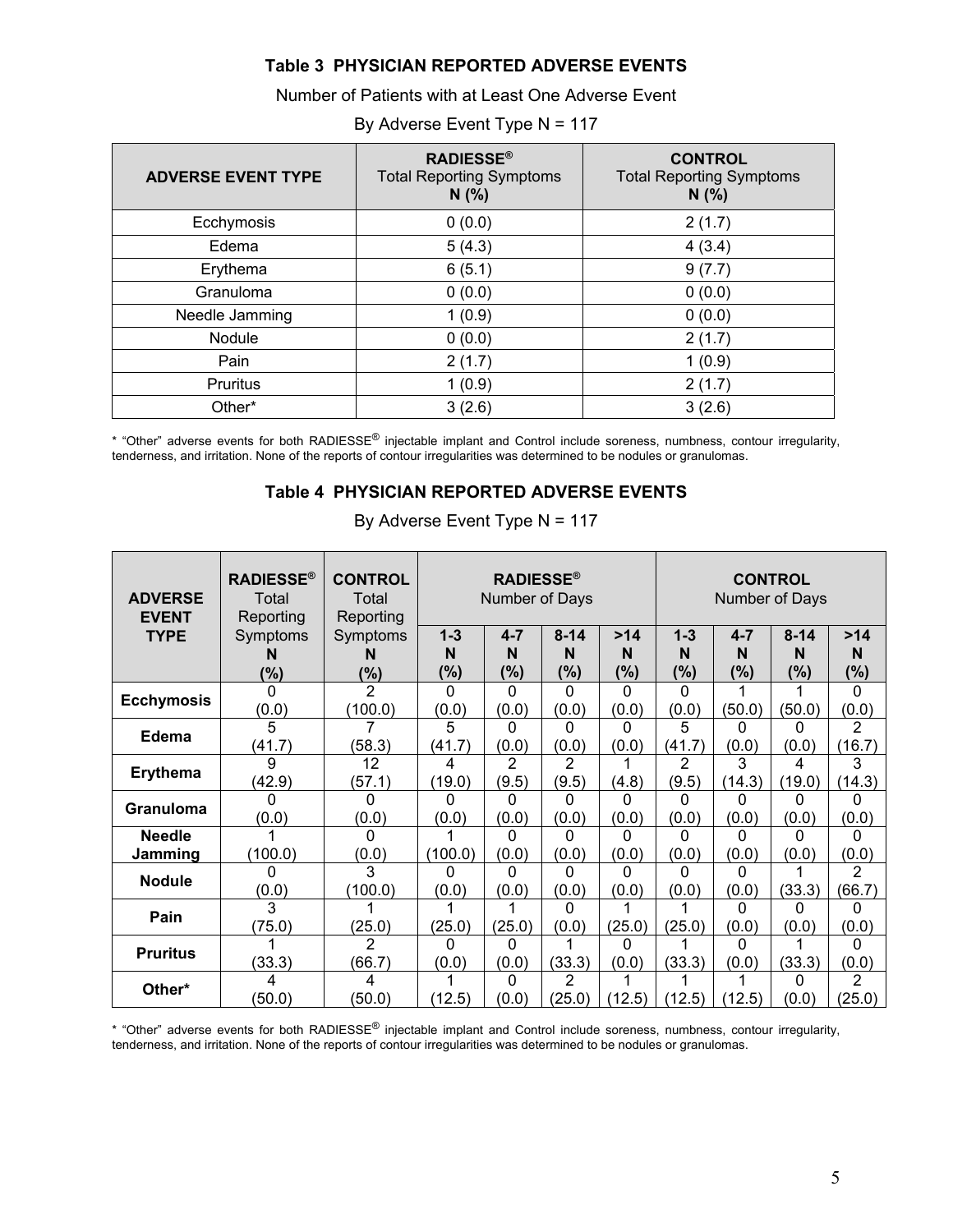#### **Table 3 PHYSICIAN REPORTED ADVERSE EVENTS**

Number of Patients with at Least One Adverse Event

| <b>ADVERSE EVENT TYPE</b> | <b>RADIESSE®</b><br><b>Total Reporting Symptoms</b><br>N(% ) | <b>CONTROL</b><br><b>Total Reporting Symptoms</b><br>N(% |
|---------------------------|--------------------------------------------------------------|----------------------------------------------------------|
| Ecchymosis                | 0(0.0)                                                       | 2(1.7)                                                   |
| Edema                     | 5(4.3)                                                       | 4(3.4)                                                   |
| Erythema                  | 6(5.1)                                                       | 9(7.7)                                                   |
| Granuloma                 | 0(0.0)                                                       | 0(0.0)                                                   |
| Needle Jamming            | 1(0.9)                                                       | 0(0.0)                                                   |
| Nodule                    | 0(0.0)                                                       | 2(1.7)                                                   |
| Pain                      | 2(1.7)                                                       | 1(0.9)                                                   |
| Pruritus                  | 1(0.9)                                                       | 2(1.7)                                                   |
| Other*                    | 3(2.6)                                                       | 3(2.6)                                                   |

#### By Adverse Event Type N = 117

\* "Other" adverse events for both RADIESSE® injectable implant and Control include soreness, numbness, contour irregularity, tenderness, and irritation. None of the reports of contour irregularities was determined to be nodules or granulomas.

#### **Table 4 PHYSICIAN REPORTED ADVERSE EVENTS**

| <b>ADVERSE</b><br><b>EVENT</b> | <b>RADIESSE®</b><br>Total<br>Reporting | <b>CONTROL</b><br>Total<br>Reporting |              | <b>RADIESSE®</b><br>Number of Days |                          |            |              |              | <b>CONTROL</b><br>Number of Days |             |
|--------------------------------|----------------------------------------|--------------------------------------|--------------|------------------------------------|--------------------------|------------|--------------|--------------|----------------------------------|-------------|
| <b>TYPE</b>                    | Symptoms<br>N                          | Symptoms                             | $1 - 3$<br>N | $4 - 7$<br>N                       | $8 - 14$<br>N            | >14<br>N   | $1 - 3$<br>N | $4 - 7$<br>N | $8 - 14$<br>N                    | >14<br>N    |
|                                | $(\% )$                                | $(\% )$                              | (%)          | (%)                                | (%)                      | (%)        | (%)          | (%)          | $(\%)$                           | (%)         |
| <b>Ecchymosis</b>              | (0.0)                                  | $\mathfrak{p}$<br>(100.0)            | 0<br>(0.0)   | 0<br>(0.0)                         | O<br>(0.0)               | 0<br>(0.0) | U<br>(0.0)   | (50.0)       | (50.0)                           | 0<br>(0.0)  |
| Edema                          | 5<br>(41.7)                            | (58.3)                               | 5<br>(41.7)  | 0<br>(0.0)                         | U<br>(0.0)               | 0<br>(0.0) | 5<br>(41.7)  | 0<br>(0.0)   | n<br>(0.0)                       | 2<br>(16.7) |
| <b>Erythema</b>                | g<br>(42.9)                            | 12<br>(57.1)                         | 4<br>(19.0)  | 2<br>(9.5)                         | 2<br>(9.5)               | (4.8)      | 2<br>(9.5)   | 3<br>(14.3)  | 4<br>(19.0)                      | 3<br>(14.3) |
| <b>Granuloma</b>               | (0.0)                                  | n<br>(0.0)                           | (0.0)        | (0.0)                              | n<br>(0.0)               | O<br>(0.0) | ი<br>(0.0)   | 0<br>(0.0)   | (0.0)                            | 0<br>(0.0)  |
| <b>Needle</b><br>Jamming       | (100.0)                                | n<br>(0.0)                           | (100.0)      | O<br>(0.0)                         | n<br>(0.0)               | O<br>(0.0) | U<br>(0.0)   | U<br>(0.0)   | n<br>(0.0)                       | ი<br>(0.0)  |
| <b>Nodule</b>                  | (0.0)                                  | (100.0)                              | O<br>(0.0)   | U<br>(0.0)                         | n<br>(0.0)               | U<br>(0.0) | n<br>(0.0)   | U<br>(0.0)   | (33.3)                           | 2<br>(66.7) |
| Pain                           | (75.0)                                 | (25.0)                               | (25.0)       | (25.0)                             | n<br>(0.0)               | (25.0)     | (25.0)       | U<br>(0.0)   | n<br>(0.0)                       | ი<br>(0.0)  |
| <b>Pruritus</b>                | (33.3)                                 | 2<br>(66.7)                          | (0.0)        | O<br>(0.0)                         | (33.3)                   | 0<br>(0.0) | (33.3)       | 0<br>(0.0)   | (33.3)                           | ი<br>(0.0)  |
| Other*                         | (50.0)                                 | 4<br>(50.0)                          | (12.5)       | 0<br>(0.0)                         | $\overline{2}$<br>(25.0) | (12.5)     | (12.5)       | (12.5)       | n<br>(0.0)                       | 2<br>(25.0) |

By Adverse Event Type N = 117

\* "Other" adverse events for both RADIESSE® injectable implant and Control include soreness, numbness, contour irregularity, tenderness, and irritation. None of the reports of contour irregularities was determined to be nodules or granulomas.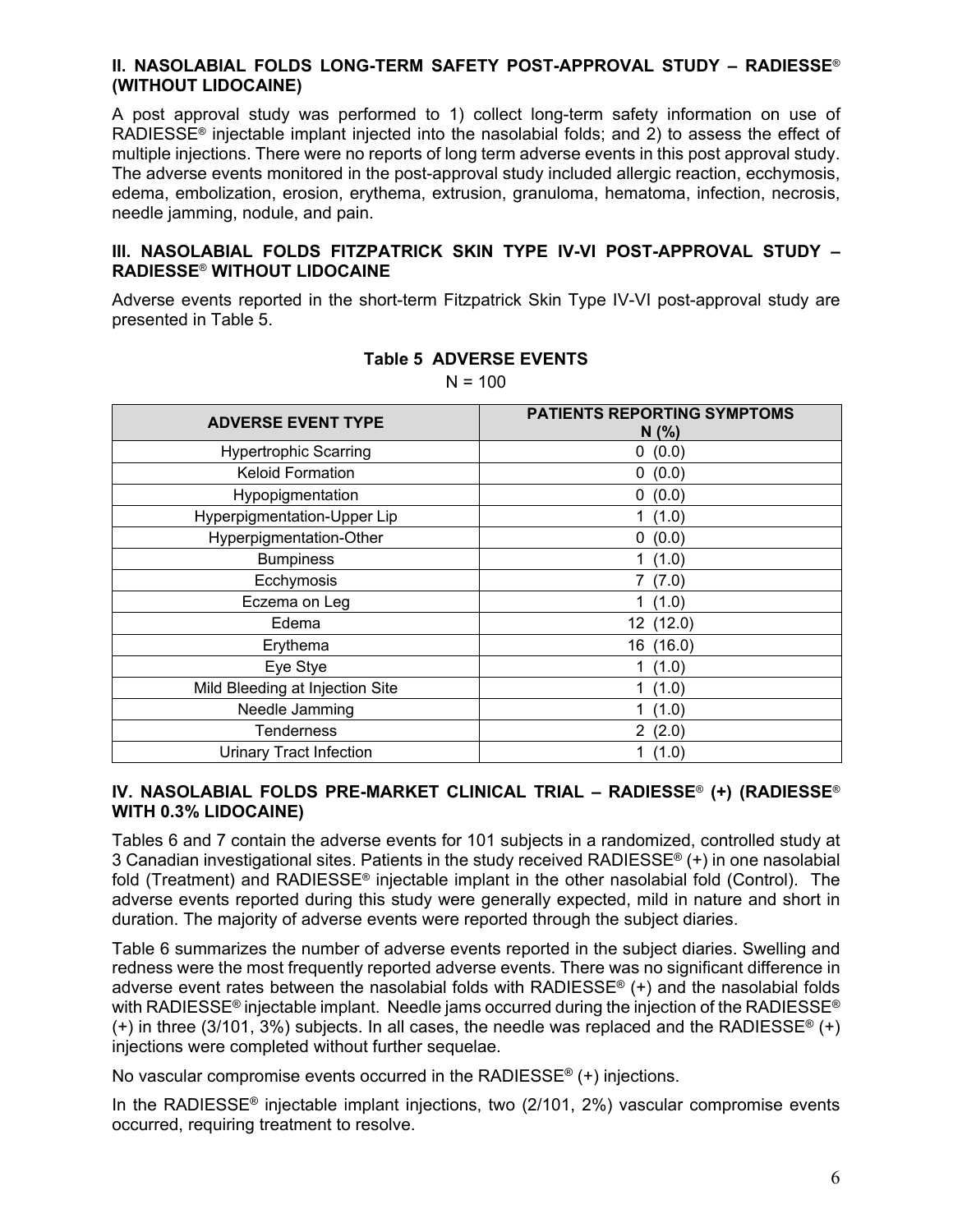#### **II. NASOLABIAL FOLDS LONG-TERM SAFETY POST-APPROVAL STUDY – RADIESSE**® **(WITHOUT LIDOCAINE)**

A post approval study was performed to 1) collect long-term safety information on use of RADIESSE® injectable implant injected into the nasolabial folds; and 2) to assess the effect of multiple injections. There were no reports of long term adverse events in this post approval study. The adverse events monitored in the post-approval study included allergic reaction, ecchymosis, edema, embolization, erosion, erythema, extrusion, granuloma, hematoma, infection, necrosis, needle jamming, nodule, and pain.

#### **III. NASOLABIAL FOLDS FITZPATRICK SKIN TYPE IV-VI POST-APPROVAL STUDY – RADIESSE**® **WITHOUT LIDOCAINE**

Adverse events reported in the short-term Fitzpatrick Skin Type IV-VI post-approval study are presented in Table 5.

| <b>ADVERSE EVENT TYPE</b>       | <b>PATIENTS REPORTING SYMPTOMS</b><br>N(%) |
|---------------------------------|--------------------------------------------|
| <b>Hypertrophic Scarring</b>    | (0.0)<br>0                                 |
| <b>Keloid Formation</b>         | 0(0.0)                                     |
| Hypopigmentation                | (0.0)<br>0                                 |
| Hyperpigmentation-Upper Lip     | 1(1.0)                                     |
| Hyperpigmentation-Other         | 0(0.0)                                     |
| <b>Bumpiness</b>                | 1(1.0)                                     |
| Ecchymosis                      | 7(7.0)                                     |
| Eczema on Leg                   | (1.0)                                      |
| Edema                           | 12(12.0)                                   |
| Erythema                        | 16 (16.0)                                  |
| Eye Stye                        | 1(1.0)                                     |
| Mild Bleeding at Injection Site | 1(1.0)                                     |
| Needle Jamming                  | 1(1.0)                                     |
| <b>Tenderness</b>               | 2(2.0)                                     |
| <b>Urinary Tract Infection</b>  | 1(1.0)                                     |

#### **Table 5 ADVERSE EVENTS**

 $N = 100$ 

#### **IV. NASOLABIAL FOLDS PRE-MARKET CLINICAL TRIAL – RADIESSE**® **(+) (RADIESSE**® **WITH 0.3% LIDOCAINE)**

Tables 6 and 7 contain the adverse events for 101 subjects in a randomized, controlled study at 3 Canadian investigational sites. Patients in the study received RADIESSE® (+) in one nasolabial fold (Treatment) and RADIESSE® injectable implant in the other nasolabial fold (Control). The adverse events reported during this study were generally expected, mild in nature and short in duration. The majority of adverse events were reported through the subject diaries.

Table 6 summarizes the number of adverse events reported in the subject diaries. Swelling and redness were the most frequently reported adverse events. There was no significant difference in adverse event rates between the nasolabial folds with RADIESSE® (+) and the nasolabial folds with RADIESSE<sup>®</sup> injectable implant. Needle jams occurred during the injection of the RADIESSE<sup>®</sup> (+) in three (3/101, 3%) subjects. In all cases, the needle was replaced and the RADIESSE<sup>®</sup> (+) injections were completed without further sequelae.

No vascular compromise events occurred in the RADIESSE® (+) injections.

In the RADIESSE<sup>®</sup> injectable implant injections, two  $(2/101, 2%)$  vascular compromise events occurred, requiring treatment to resolve.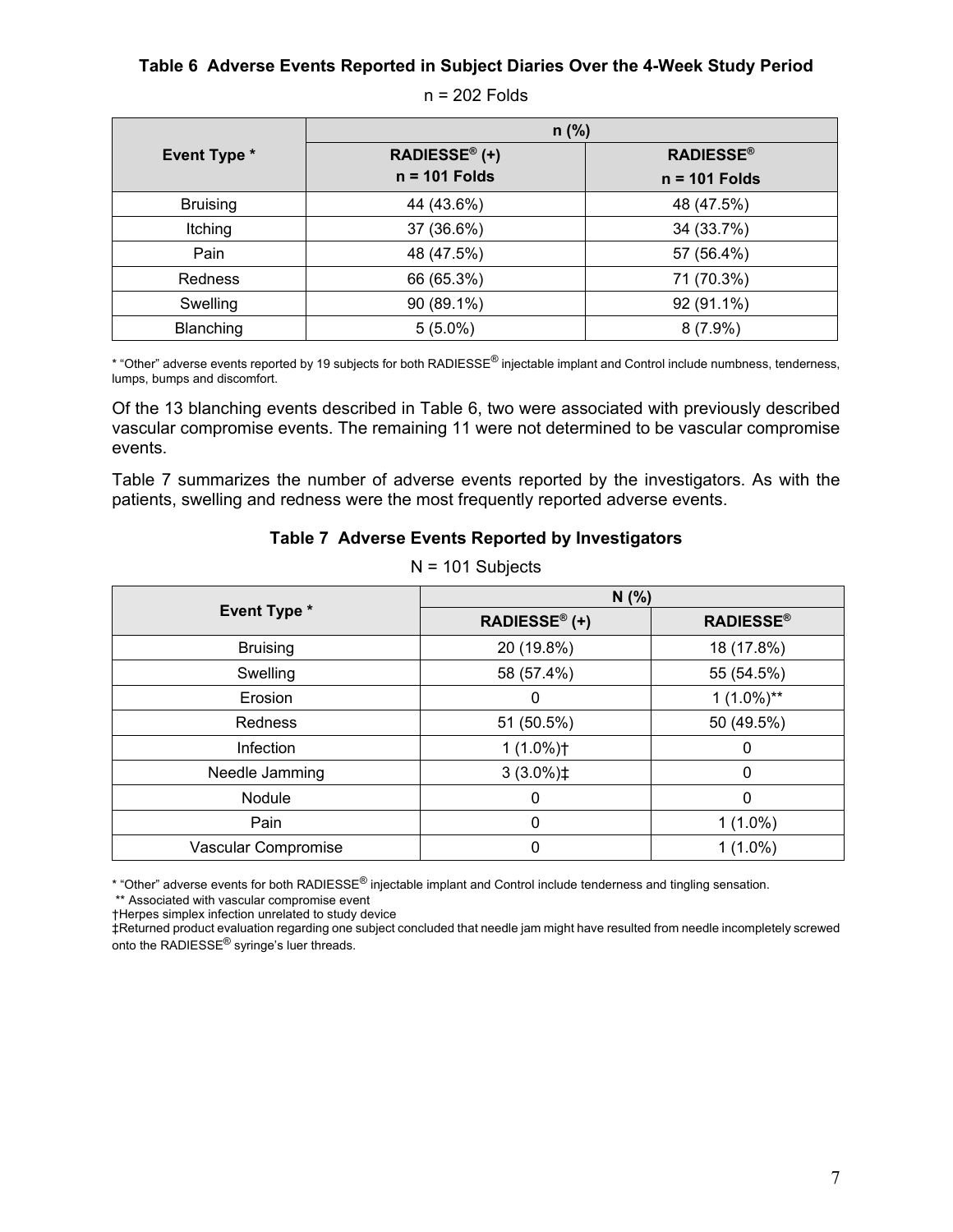#### **Table 6 Adverse Events Reported in Subject Diaries Over the 4-Week Study Period**

| $n = 202$ Folds |  |
|-----------------|--|
|-----------------|--|

|                     | $n$ (%)         |                  |  |  |
|---------------------|-----------------|------------------|--|--|
| <b>Event Type *</b> | RADIESSE® (+)   | <b>RADIESSE®</b> |  |  |
|                     | $n = 101$ Folds | $n = 101$ Folds  |  |  |
| <b>Bruising</b>     | 44 (43.6%)      | 48 (47.5%)       |  |  |
| Itching             | 37 (36.6%)      | 34 (33.7%)       |  |  |
| Pain                | 48 (47.5%)      | 57 (56.4%)       |  |  |
| Redness             | 66 (65.3%)      | 71 (70.3%)       |  |  |
| Swelling            | 90 (89.1%)      | 92 (91.1%)       |  |  |
| Blanching           | $5(5.0\%)$      | $8(7.9\%)$       |  |  |

\* "Other" adverse events reported by 19 subjects for both RADIESSE® injectable implant and Control include numbness, tenderness, lumps, bumps and discomfort.

Of the 13 blanching events described in Table 6, two were associated with previously described vascular compromise events. The remaining 11 were not determined to be vascular compromise events.

Table 7 summarizes the number of adverse events reported by the investigators. As with the patients, swelling and redness were the most frequently reported adverse events.

#### **Table 7 Adverse Events Reported by Investigators**

|                     | N(%)                 |                  |  |  |
|---------------------|----------------------|------------------|--|--|
| <b>Event Type *</b> | <b>RADIESSE® (+)</b> | <b>RADIESSE®</b> |  |  |
| <b>Bruising</b>     | 20 (19.8%)           | 18 (17.8%)       |  |  |
| Swelling            | 58 (57.4%)           | 55 (54.5%)       |  |  |
| Erosion             | 0                    | $1(1.0\%)^{**}$  |  |  |
| <b>Redness</b>      | 51 (50.5%)           | 50 (49.5%)       |  |  |
| <b>Infection</b>    | $1(1.0\%)$ †         |                  |  |  |
| Needle Jamming      | $3(3.0\%)\ddagger$   | $\Omega$         |  |  |
| Nodule              | 0                    | $\Omega$         |  |  |
| Pain                | 0                    | $1(1.0\%)$       |  |  |
| Vascular Compromise |                      | $1(1.0\%)$       |  |  |

 $N = 101$  Subjects

\* "Other" adverse events for both RADIESSE® injectable implant and Control include tenderness and tingling sensation.

\*\* Associated with vascular compromise event

†Herpes simplex infection unrelated to study device

‡Returned product evaluation regarding one subject concluded that needle jam might have resulted from needle incompletely screwed onto the RADIESSE® syringe's luer threads.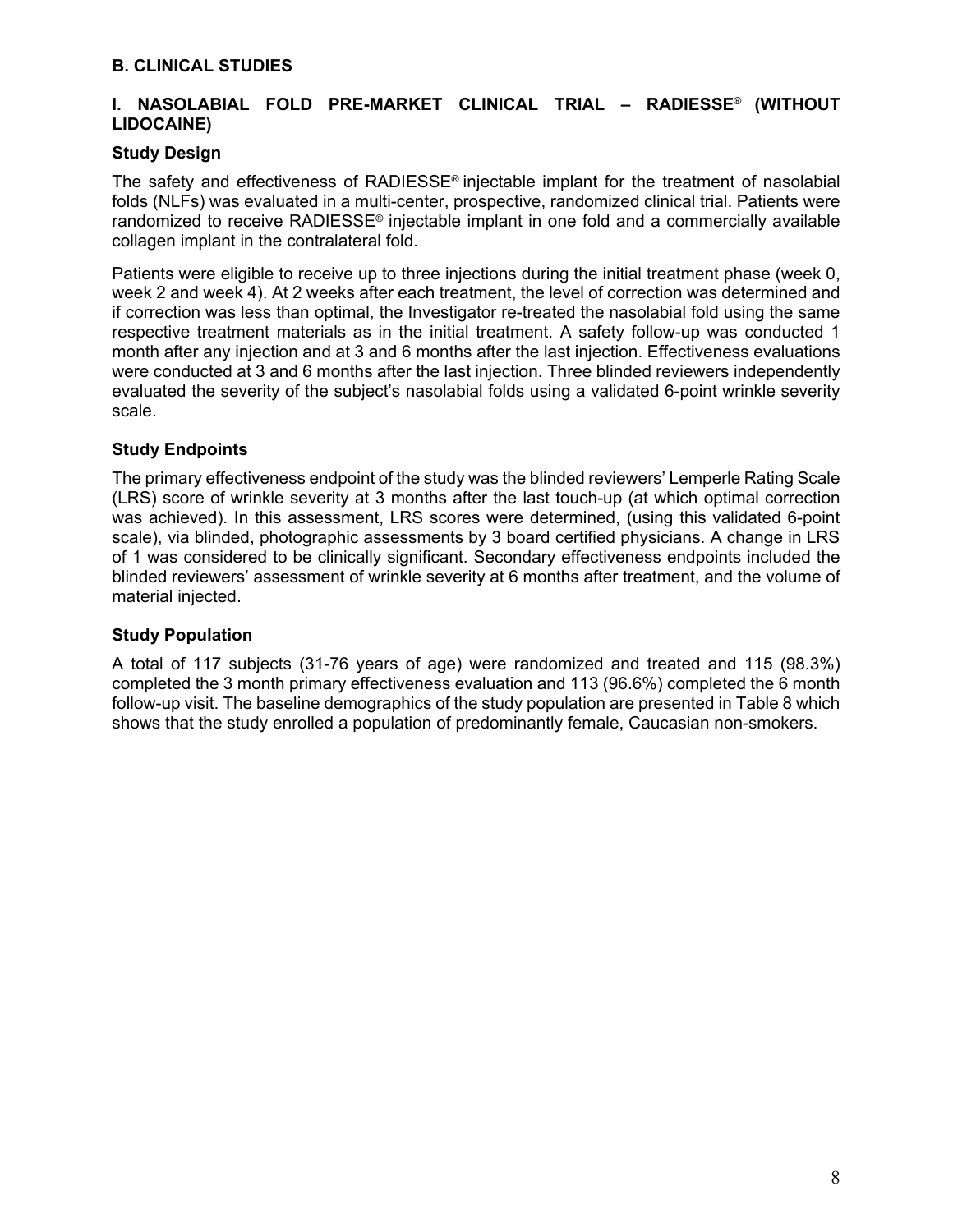#### **I. NASOLABIAL FOLD PRE-MARKET CLINICAL TRIAL – RADIESSE**® **(WITHOUT LIDOCAINE)**

#### **Study Design**

The safety and effectiveness of RADIESSE® injectable implant for the treatment of nasolabial folds (NLFs) was evaluated in a multi-center, prospective, randomized clinical trial. Patients were randomized to receive RADIESSE® injectable implant in one fold and a commercially available collagen implant in the contralateral fold.

Patients were eligible to receive up to three injections during the initial treatment phase (week 0, week 2 and week 4). At 2 weeks after each treatment, the level of correction was determined and if correction was less than optimal, the Investigator re-treated the nasolabial fold using the same respective treatment materials as in the initial treatment. A safety follow-up was conducted 1 month after any injection and at 3 and 6 months after the last injection. Effectiveness evaluations were conducted at 3 and 6 months after the last injection. Three blinded reviewers independently evaluated the severity of the subject's nasolabial folds using a validated 6-point wrinkle severity scale.

#### **Study Endpoints**

The primary effectiveness endpoint of the study was the blinded reviewers' Lemperle Rating Scale (LRS) score of wrinkle severity at 3 months after the last touch-up (at which optimal correction was achieved). In this assessment, LRS scores were determined, (using this validated 6-point scale), via blinded, photographic assessments by 3 board certified physicians. A change in LRS of 1 was considered to be clinically significant. Secondary effectiveness endpoints included the blinded reviewers' assessment of wrinkle severity at 6 months after treatment, and the volume of material injected.

#### **Study Population**

A total of 117 subjects (31-76 years of age) were randomized and treated and 115 (98.3%) completed the 3 month primary effectiveness evaluation and 113 (96.6%) completed the 6 month follow-up visit. The baseline demographics of the study population are presented in Table 8 which shows that the study enrolled a population of predominantly female, Caucasian non-smokers.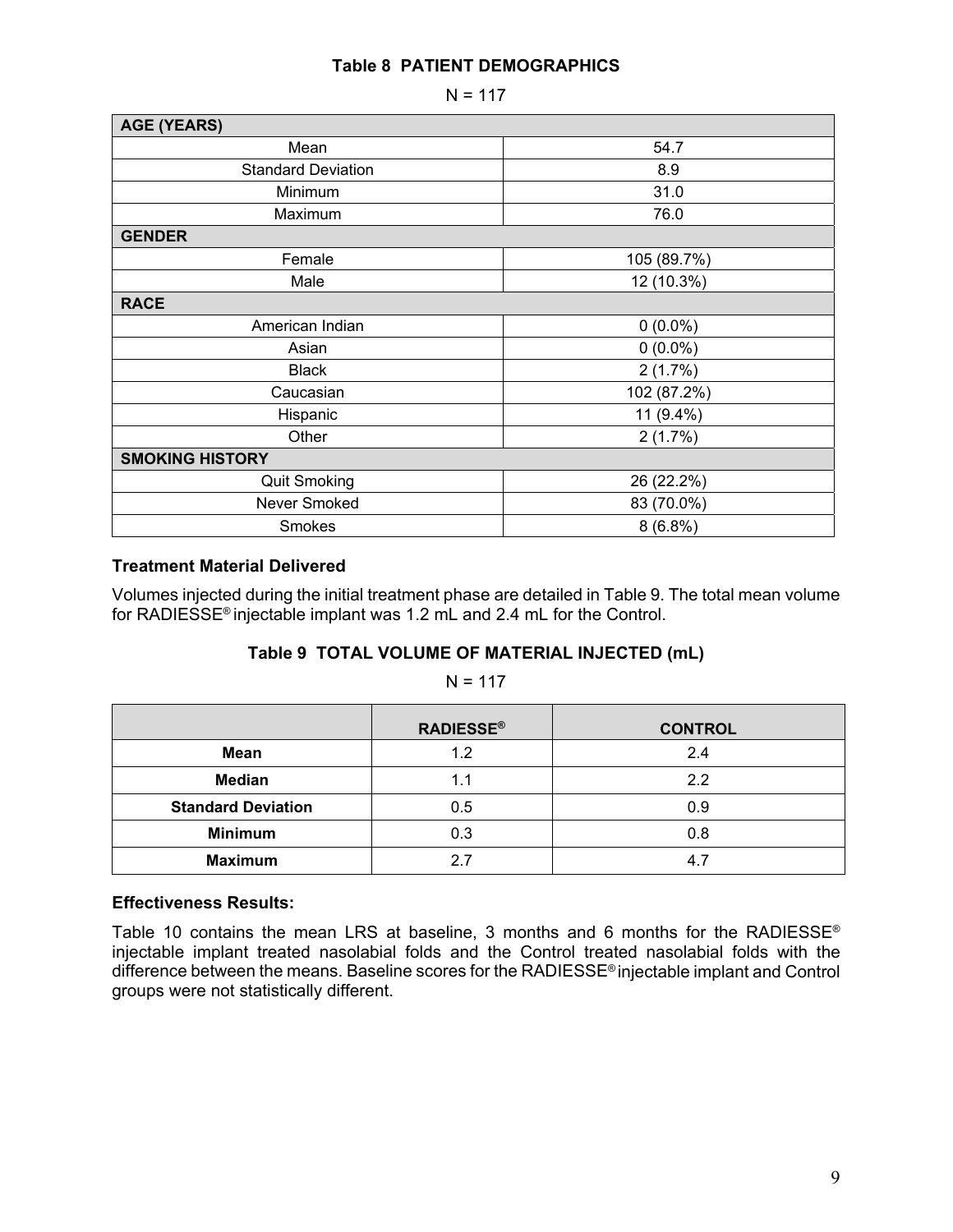#### **Table 8 PATIENT DEMOGRAPHICS**

 $N = 117$ 

| <b>AGE (YEARS)</b>        |             |  |  |  |
|---------------------------|-------------|--|--|--|
| Mean                      | 54.7        |  |  |  |
| <b>Standard Deviation</b> | 8.9         |  |  |  |
| Minimum                   | 31.0        |  |  |  |
| Maximum                   | 76.0        |  |  |  |
| <b>GENDER</b>             |             |  |  |  |
| Female                    | 105 (89.7%) |  |  |  |
| Male                      | 12 (10.3%)  |  |  |  |
| <b>RACE</b>               |             |  |  |  |
| American Indian           | $0(0.0\%)$  |  |  |  |
| Asian                     | $0(0.0\%)$  |  |  |  |
| <b>Black</b>              | 2(1.7%)     |  |  |  |
| Caucasian                 | 102 (87.2%) |  |  |  |
| Hispanic                  | 11 (9.4%)   |  |  |  |
| Other                     | 2(1.7%)     |  |  |  |
| <b>SMOKING HISTORY</b>    |             |  |  |  |
| <b>Quit Smoking</b>       | 26 (22.2%)  |  |  |  |
| Never Smoked              | 83 (70.0%)  |  |  |  |
| Smokes                    | $8(6.8\%)$  |  |  |  |

#### **Treatment Material Delivered**

Volumes injected during the initial treatment phase are detailed in Table 9. The total mean volume for RADIESSE® injectable implant was 1.2 mL and 2.4 mL for the Control.

#### **Table 9 TOTAL VOLUME OF MATERIAL INJECTED (mL)**

 $N = 117$ 

|                           | <b>RADIESSE®</b> | <b>CONTROL</b> |
|---------------------------|------------------|----------------|
| Mean                      | 1.2              | 2.4            |
| <b>Median</b>             | 1.1              | 2.2            |
| <b>Standard Deviation</b> | 0.5              | 0.9            |
| <b>Minimum</b>            | 0.3              | 0.8            |
| <b>Maximum</b>            | 27               | 4.7            |

#### **Effectiveness Results:**

Table 10 contains the mean LRS at baseline, 3 months and 6 months for the RADIESSE<sup>®</sup> injectable implant treated nasolabial folds and the Control treated nasolabial folds with the difference between the means. Baseline scores for the RADIESSE® injectable implant and Control groups were not statistically different.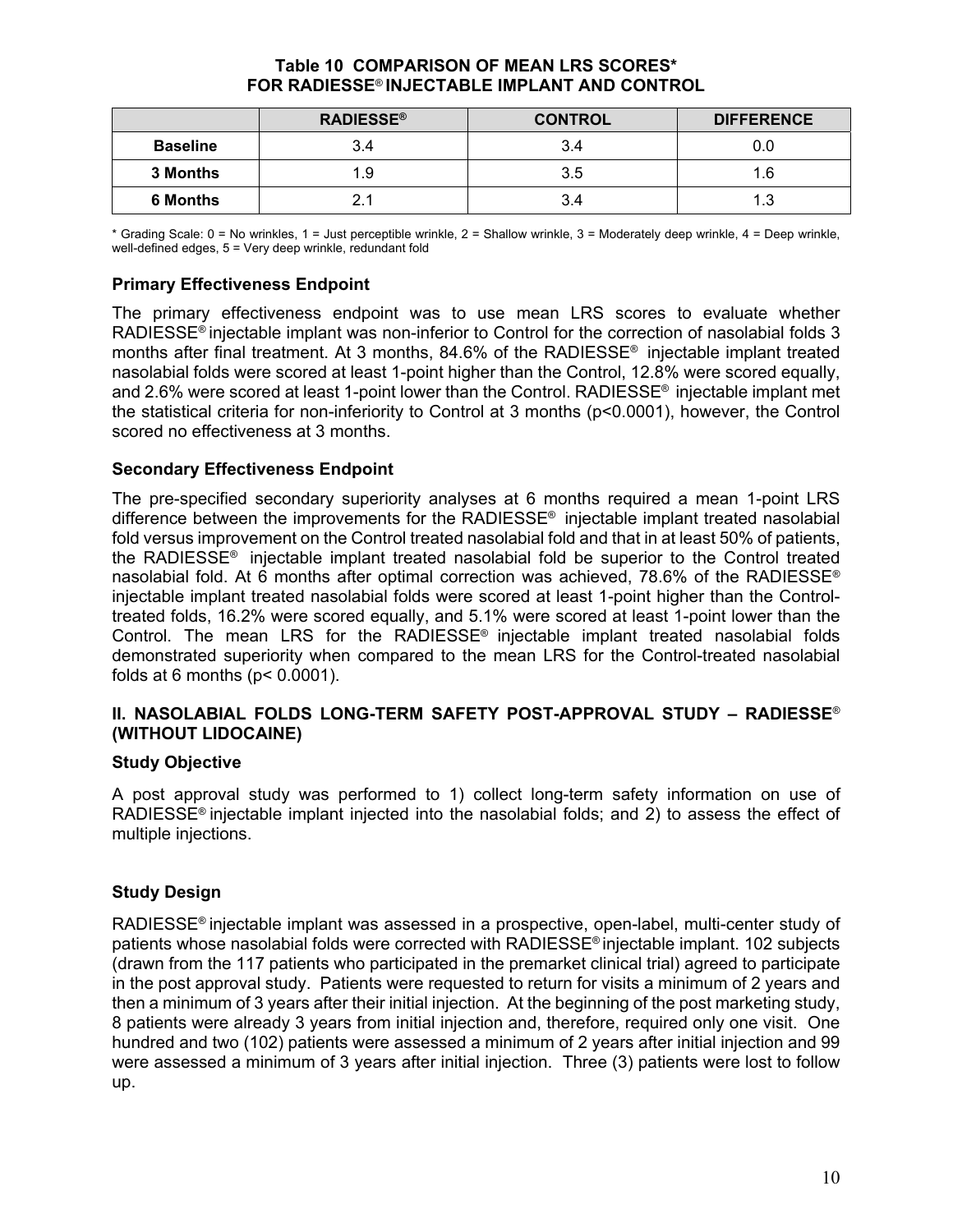#### **Table 10 COMPARISON OF MEAN LRS SCORES\* FOR RADIESSE**® **INJECTABLE IMPLANT AND CONTROL**

|                 | <b>RADIESSE®</b> | <b>CONTROL</b> | <b>DIFFERENCE</b> |
|-----------------|------------------|----------------|-------------------|
| <b>Baseline</b> | 3.4              | 3.4            | 0.0               |
| <b>3 Months</b> | 1.9              | 3.5            | 1.6               |
| <b>6 Months</b> |                  | 3.4            | 1.3               |

\* Grading Scale: 0 = No wrinkles, 1 = Just perceptible wrinkle, 2 = Shallow wrinkle, 3 = Moderately deep wrinkle, 4 = Deep wrinkle, well-defined edges, 5 = Very deep wrinkle, redundant fold

#### **Primary Effectiveness Endpoint**

The primary effectiveness endpoint was to use mean LRS scores to evaluate whether RADIESSE<sup>®</sup> injectable implant was non-inferior to Control for the correction of nasolabial folds 3 months after final treatment. At 3 months, 84.6% of the RADIESSE® injectable implant treated nasolabial folds were scored at least 1-point higher than the Control, 12.8% were scored equally, and 2.6% were scored at least 1-point lower than the Control. RADIESSE<sup>®</sup> injectable implant met the statistical criteria for non-inferiority to Control at 3 months (p<0.0001), however, the Control scored no effectiveness at 3 months.

#### **Secondary Effectiveness Endpoint**

The pre-specified secondary superiority analyses at 6 months required a mean 1-point LRS difference between the improvements for the RADIESSE® injectable implant treated nasolabial fold versus improvement on the Control treated nasolabial fold and that in at least 50% of patients, the RADIESSE® injectable implant treated nasolabial fold be superior to the Control treated nasolabial fold. At 6 months after optimal correction was achieved, 78.6% of the RADIESSE® injectable implant treated nasolabial folds were scored at least 1-point higher than the Controltreated folds, 16.2% were scored equally, and 5.1% were scored at least 1-point lower than the Control. The mean LRS for the RADIESSE<sup>®</sup> injectable implant treated nasolabial folds demonstrated superiority when compared to the mean LRS for the Control-treated nasolabial folds at 6 months ( $p$  < 0.0001).

#### **II. NASOLABIAL FOLDS LONG-TERM SAFETY POST-APPROVAL STUDY – RADIESSE**® **(WITHOUT LIDOCAINE)**

#### **Study Objective**

A post approval study was performed to 1) collect long-term safety information on use of RADIESSE<sup>®</sup> injectable implant injected into the nasolabial folds; and 2) to assess the effect of multiple injections.

#### **Study Design**

RADIESSE® injectable implant was assessed in a prospective, open-label, multi-center study of patients whose nasolabial folds were corrected with RADIESSE® injectable implant. 102 subjects (drawn from the 117 patients who participated in the premarket clinical trial) agreed to participate in the post approval study. Patients were requested to return for visits a minimum of 2 years and then a minimum of 3 years after their initial injection. At the beginning of the post marketing study, 8 patients were already 3 years from initial injection and, therefore, required only one visit. One hundred and two (102) patients were assessed a minimum of 2 years after initial injection and 99 were assessed a minimum of 3 years after initial injection. Three (3) patients were lost to follow up.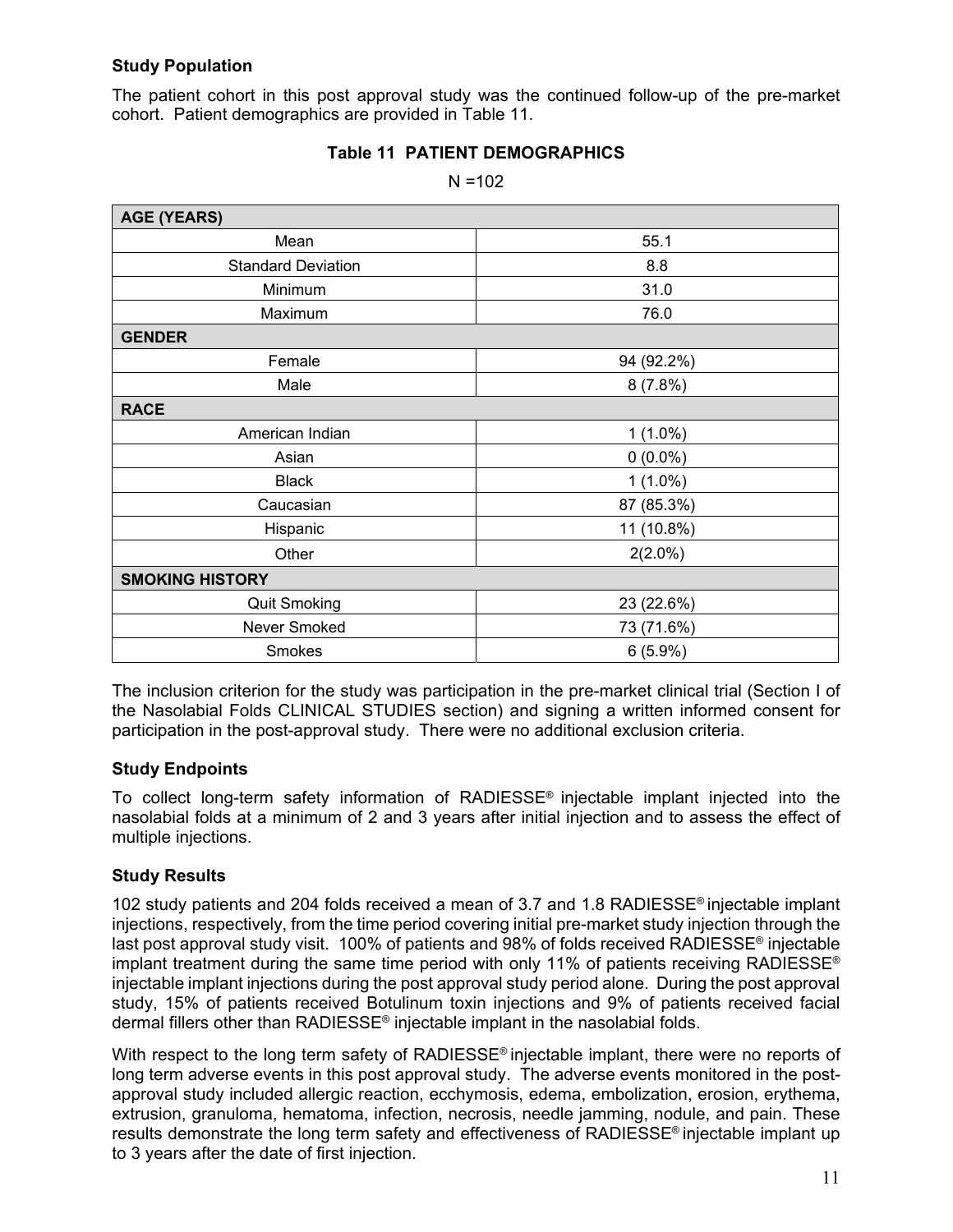#### **Study Population**

The patient cohort in this post approval study was the continued follow-up of the pre-market cohort. Patient demographics are provided in Table 11.

| <b>AGE (YEARS)</b>        |            |  |
|---------------------------|------------|--|
| Mean                      | 55.1       |  |
| <b>Standard Deviation</b> | 8.8        |  |
| Minimum                   | 31.0       |  |
| Maximum                   | 76.0       |  |
| <b>GENDER</b>             |            |  |
| Female                    | 94 (92.2%) |  |
| Male                      | 8(7.8%)    |  |
| <b>RACE</b>               |            |  |
| American Indian           | $1(1.0\%)$ |  |
| Asian                     | $0(0.0\%)$ |  |
| <b>Black</b>              | $1(1.0\%)$ |  |
| Caucasian                 | 87 (85.3%) |  |
| Hispanic                  | 11 (10.8%) |  |
| Other                     | $2(2.0\%)$ |  |
| <b>SMOKING HISTORY</b>    |            |  |
| <b>Quit Smoking</b>       | 23 (22.6%) |  |
| Never Smoked              | 73 (71.6%) |  |
| Smokes                    | $6(5.9\%)$ |  |

#### **Table 11 PATIENT DEMOGRAPHICS**   $N = 102$

The inclusion criterion for the study was participation in the pre-market clinical trial (Section I of the Nasolabial Folds CLINICAL STUDIES section) and signing a written informed consent for participation in the post-approval study. There were no additional exclusion criteria.

#### **Study Endpoints**

To collect long-term safety information of RADIESSE® injectable implant injected into the nasolabial folds at a minimum of 2 and 3 years after initial injection and to assess the effect of multiple injections.

#### **Study Results**

102 study patients and 204 folds received a mean of 3.7 and 1.8 RADIESSE® injectable implant injections, respectively, from the time period covering initial pre-market study injection through the last post approval study visit. 100% of patients and 98% of folds received RADIESSE® injectable implant treatment during the same time period with only 11% of patients receiving RADIESSE® injectable implant injections during the post approval study period alone. During the post approval study, 15% of patients received Botulinum toxin injections and 9% of patients received facial dermal fillers other than RADIESSE® injectable implant in the nasolabial folds.

With respect to the long term safety of RADIESSE<sup>®</sup> injectable implant, there were no reports of long term adverse events in this post approval study. The adverse events monitored in the postapproval study included allergic reaction, ecchymosis, edema, embolization, erosion, erythema, extrusion, granuloma, hematoma, infection, necrosis, needle jamming, nodule, and pain. These results demonstrate the long term safety and effectiveness of RADIESSE® injectable implant up to 3 years after the date of first injection.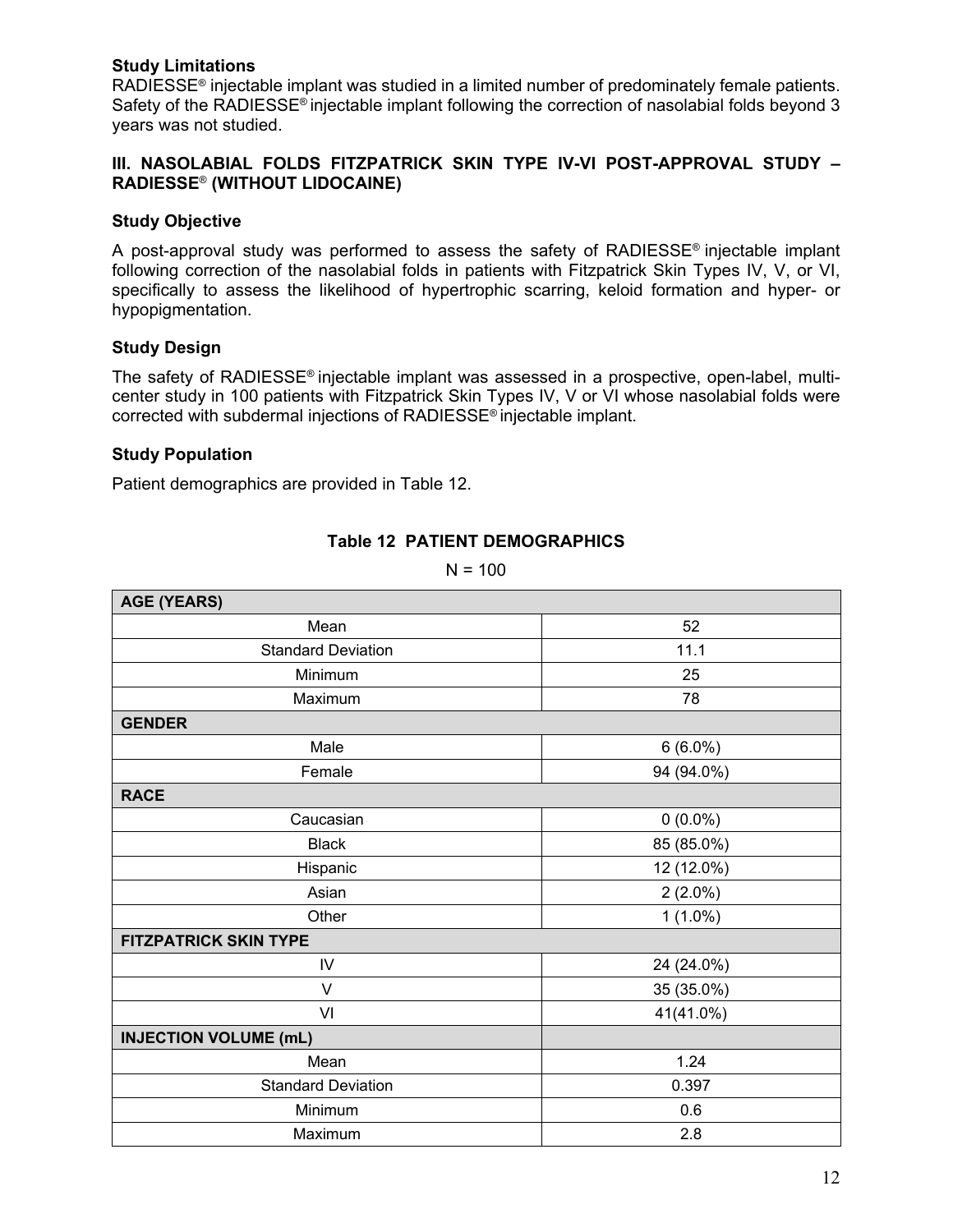#### **Study Limitations**

RADIESSE® injectable implant was studied in a limited number of predominately female patients. Safety of the RADIESSE® injectable implant following the correction of nasolabial folds beyond 3 years was not studied.

#### **III. NASOLABIAL FOLDS FITZPATRICK SKIN TYPE IV-VI POST-APPROVAL STUDY -RADIESSE**® **(WITHOUT LIDOCAINE)**

#### **Study Objective**

A post-approval study was performed to assess the safety of RADIESSE<sup>®</sup> injectable implant following correction of the nasolabial folds in patients with Fitzpatrick Skin Types IV, V, or VI, specifically to assess the likelihood of hypertrophic scarring, keloid formation and hyper- or hypopigmentation.

#### **Study Design**

The safety of RADIESSE® injectable implant was assessed in a prospective, open-label, multicenter study in 100 patients with Fitzpatrick Skin Types IV, V or VI whose nasolabial folds were corrected with subdermal injections of RADIESSE® injectable implant.

#### **Study Population**

Patient demographics are provided in Table 12.

#### **Table 12 PATIENT DEMOGRAPHICS**

 $N = 100$ 

| <b>AGE (YEARS)</b>           |            |  |  |  |
|------------------------------|------------|--|--|--|
| Mean                         | 52         |  |  |  |
| <b>Standard Deviation</b>    | 11.1       |  |  |  |
| Minimum                      | 25         |  |  |  |
| Maximum                      | 78         |  |  |  |
| <b>GENDER</b>                |            |  |  |  |
| Male                         | $6(6.0\%)$ |  |  |  |
| Female                       | 94 (94.0%) |  |  |  |
| <b>RACE</b>                  |            |  |  |  |
| Caucasian                    | $0(0.0\%)$ |  |  |  |
| <b>Black</b>                 | 85 (85.0%) |  |  |  |
| Hispanic                     | 12 (12.0%) |  |  |  |
| Asian                        | $2(2.0\%)$ |  |  |  |
| Other                        | $1(1.0\%)$ |  |  |  |
| <b>FITZPATRICK SKIN TYPE</b> |            |  |  |  |
| IV                           | 24 (24.0%) |  |  |  |
| V                            | 35 (35.0%) |  |  |  |
| VI                           | 41(41.0%)  |  |  |  |
| <b>INJECTION VOLUME (mL)</b> |            |  |  |  |
| Mean                         | 1.24       |  |  |  |
| <b>Standard Deviation</b>    | 0.397      |  |  |  |
| Minimum                      | 0.6        |  |  |  |
| Maximum                      | 2.8        |  |  |  |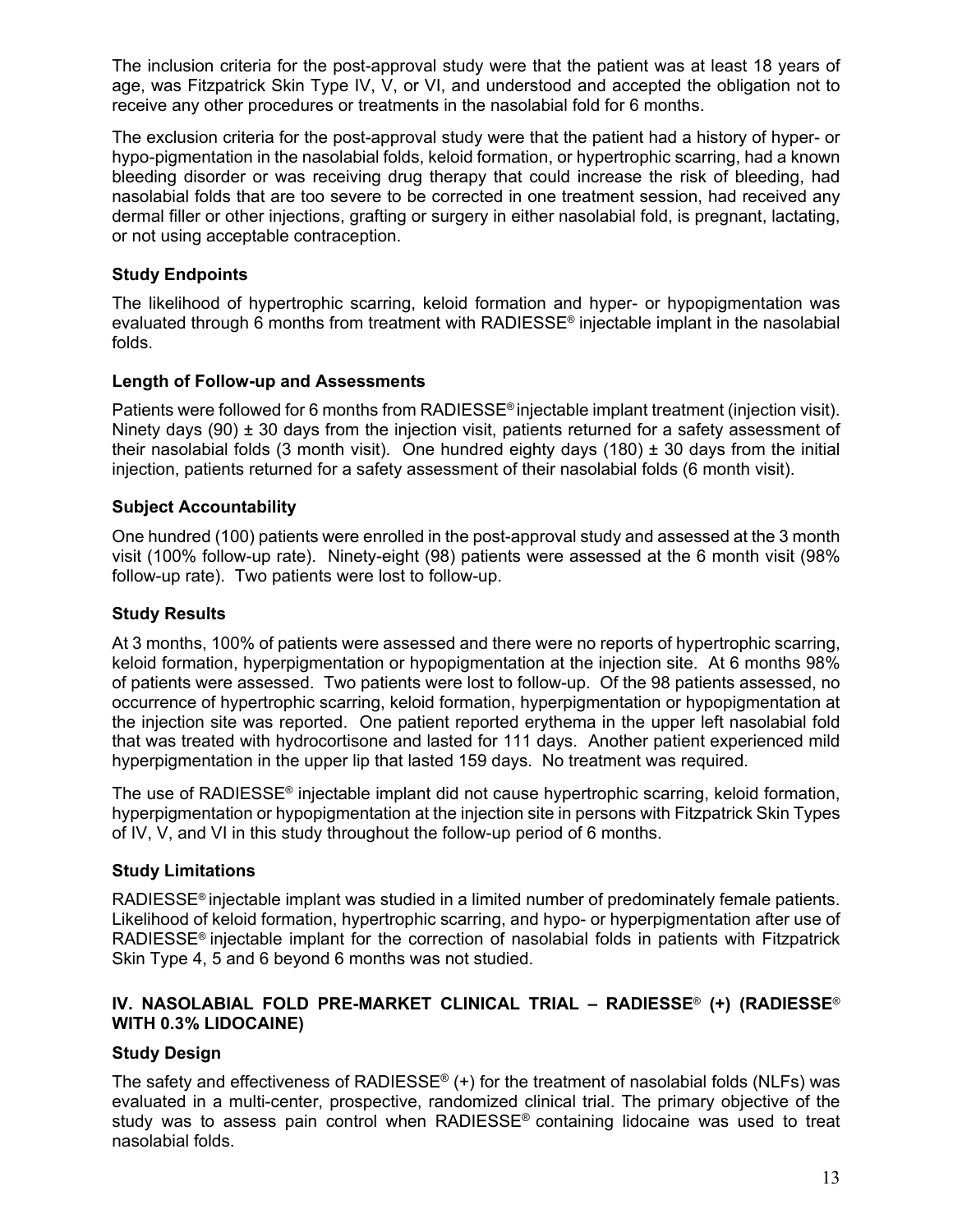The inclusion criteria for the post-approval study were that the patient was at least 18 years of age, was Fitzpatrick Skin Type IV, V, or VI, and understood and accepted the obligation not to receive any other procedures or treatments in the nasolabial fold for 6 months.

The exclusion criteria for the post-approval study were that the patient had a history of hyper- or hypo-pigmentation in the nasolabial folds, keloid formation, or hypertrophic scarring, had a known bleeding disorder or was receiving drug therapy that could increase the risk of bleeding, had nasolabial folds that are too severe to be corrected in one treatment session, had received any dermal filler or other injections, grafting or surgery in either nasolabial fold, is pregnant, lactating, or not using acceptable contraception.

#### **Study Endpoints**

The likelihood of hypertrophic scarring, keloid formation and hyper- or hypopigmentation was evaluated through 6 months from treatment with RADIESSE® injectable implant in the nasolabial folds.

#### **Length of Follow-up and Assessments**

Patients were followed for 6 months from RADIESSE® injectable implant treatment (injection visit). Ninety days (90)  $\pm$  30 days from the injection visit, patients returned for a safety assessment of their nasolabial folds (3 month visit). One hundred eighty days (180)  $\pm$  30 days from the initial injection, patients returned for a safety assessment of their nasolabial folds (6 month visit).

#### **Subject Accountability**

One hundred (100) patients were enrolled in the post-approval study and assessed at the 3 month visit (100% follow-up rate). Ninety-eight (98) patients were assessed at the 6 month visit (98% follow-up rate). Two patients were lost to follow-up.

#### **Study Results**

At 3 months, 100% of patients were assessed and there were no reports of hypertrophic scarring, keloid formation, hyperpigmentation or hypopigmentation at the injection site. At 6 months 98% of patients were assessed. Two patients were lost to follow-up. Of the 98 patients assessed, no occurrence of hypertrophic scarring, keloid formation, hyperpigmentation or hypopigmentation at the injection site was reported. One patient reported erythema in the upper left nasolabial fold that was treated with hydrocortisone and lasted for 111 days. Another patient experienced mild hyperpigmentation in the upper lip that lasted 159 days. No treatment was required.

The use of RADIESSE<sup>®</sup> injectable implant did not cause hypertrophic scarring, keloid formation, hyperpigmentation or hypopigmentation at the injection site in persons with Fitzpatrick Skin Types of IV, V, and VI in this study throughout the follow-up period of 6 months.

#### **Study Limitations**

RADIESSE® injectable implant was studied in a limited number of predominately female patients. Likelihood of keloid formation, hypertrophic scarring, and hypo- or hyperpigmentation after use of RADIESSE<sup>®</sup> injectable implant for the correction of nasolabial folds in patients with Fitzpatrick Skin Type 4, 5 and 6 beyond 6 months was not studied.

#### **IV. NASOLABIAL FOLD PRE-MARKET CLINICAL TRIAL – RADIESSE**® **(+) (RADIESSE**® **WITH 0.3% LIDOCAINE)**

#### **Study Design**

The safety and effectiveness of RADIESSE<sup>®</sup> (+) for the treatment of nasolabial folds (NLFs) was evaluated in a multi-center, prospective, randomized clinical trial. The primary objective of the study was to assess pain control when RADIESSE<sup>®</sup> containing lidocaine was used to treat nasolabial folds.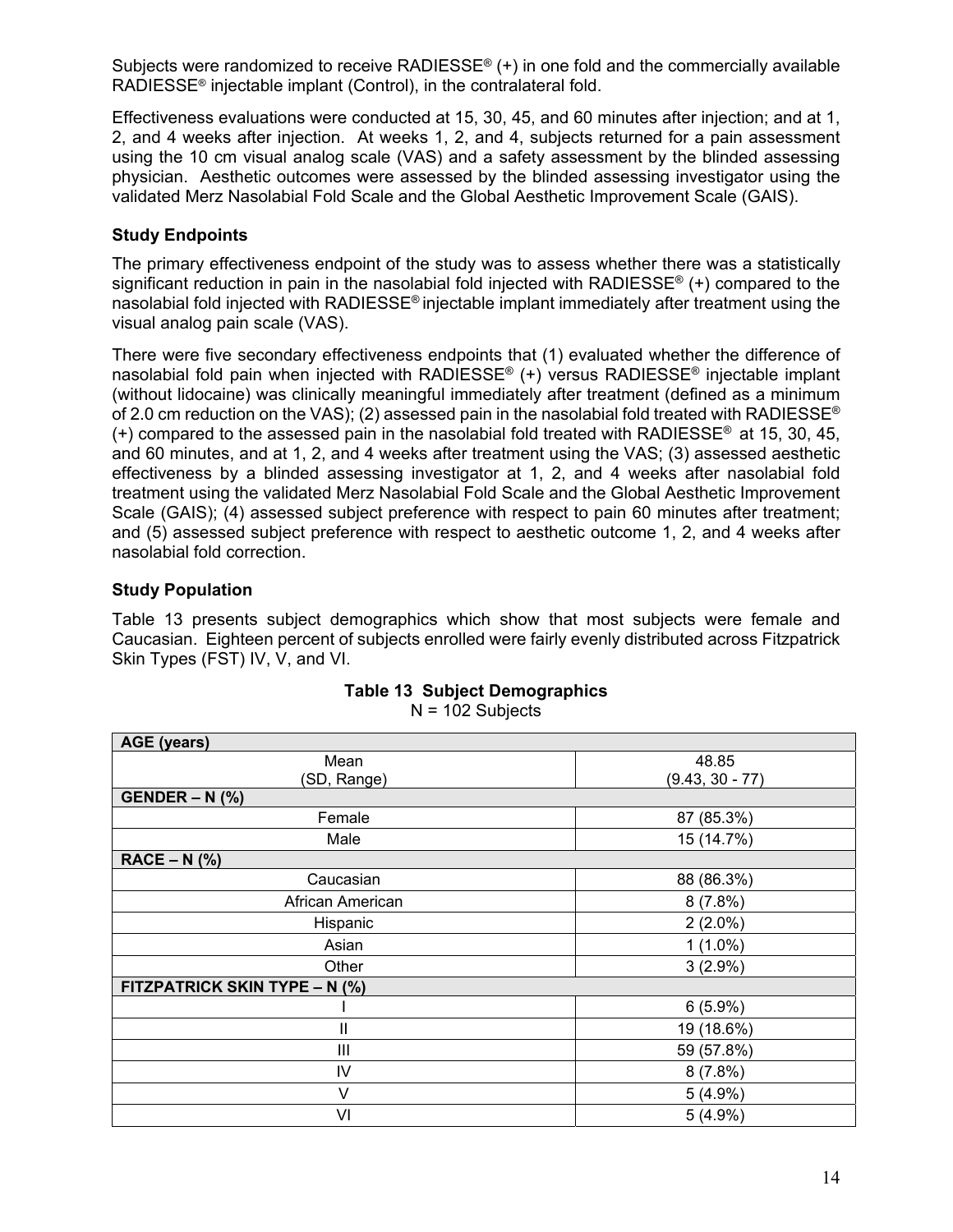Subjects were randomized to receive RADIESSE<sup>®</sup> (+) in one fold and the commercially available RADIESSE® injectable implant (Control), in the contralateral fold.

Effectiveness evaluations were conducted at 15, 30, 45, and 60 minutes after injection; and at 1, 2, and 4 weeks after injection. At weeks 1, 2, and 4, subjects returned for a pain assessment using the 10 cm visual analog scale (VAS) and a safety assessment by the blinded assessing physician. Aesthetic outcomes were assessed by the blinded assessing investigator using the validated Merz Nasolabial Fold Scale and the Global Aesthetic Improvement Scale (GAIS).

#### **Study Endpoints**

The primary effectiveness endpoint of the study was to assess whether there was a statistically significant reduction in pain in the nasolabial fold injected with RADIESSE<sup>®</sup> (+) compared to the nasolabial fold injected with RADIESSE® injectable implant immediately after treatment using the visual analog pain scale (VAS).

There were five secondary effectiveness endpoints that (1) evaluated whether the difference of nasolabial fold pain when injected with RADIESSE® (+) versus RADIESSE® injectable implant (without lidocaine) was clinically meaningful immediately after treatment (defined as a minimum of 2.0 cm reduction on the VAS); (2) assessed pain in the nasolabial fold treated with RADIESSE<sup>®</sup>  $(+)$  compared to the assessed pain in the nasolabial fold treated with RADIESSE<sup>®</sup> at 15, 30, 45, and 60 minutes, and at 1, 2, and 4 weeks after treatment using the VAS; (3) assessed aesthetic effectiveness by a blinded assessing investigator at 1, 2, and 4 weeks after nasolabial fold treatment using the validated Merz Nasolabial Fold Scale and the Global Aesthetic Improvement Scale (GAIS); (4) assessed subject preference with respect to pain 60 minutes after treatment; and (5) assessed subject preference with respect to aesthetic outcome 1, 2, and 4 weeks after nasolabial fold correction.

#### **Study Population**

Table 13 presents subject demographics which show that most subjects were female and Caucasian. Eighteen percent of subjects enrolled were fairly evenly distributed across Fitzpatrick Skin Types (FST) IV, V, and VI.

| <b>AGE</b> (years)            |                   |  |
|-------------------------------|-------------------|--|
| Mean                          | 48.85             |  |
| (SD, Range)                   | $(9.43, 30 - 77)$ |  |
| $GENDER - N$ (%)              |                   |  |
| Female                        | 87 (85.3%)        |  |
| Male                          | 15 (14.7%)        |  |
| $RACE - N$ (%)                |                   |  |
| Caucasian                     | 88 (86.3%)        |  |
| African American              | 8(7.8%)           |  |
| Hispanic                      | $2(2.0\%)$        |  |
| Asian                         | $1(1.0\%)$        |  |
| Other                         | $3(2.9\%)$        |  |
| FITZPATRICK SKIN TYPE - N (%) |                   |  |
|                               | $6(5.9\%)$        |  |
| $\mathbf{I}$                  | 19 (18.6%)        |  |
| Ш                             | 59 (57.8%)        |  |
| IV                            | 8(7.8%)           |  |
| $\vee$                        | $5(4.9\%)$        |  |
| VI                            | 5(4.9%)           |  |

|  |                    | <b>Table 13 Subject Demographics</b> |
|--|--------------------|--------------------------------------|
|  | $N = 102$ Subjects |                                      |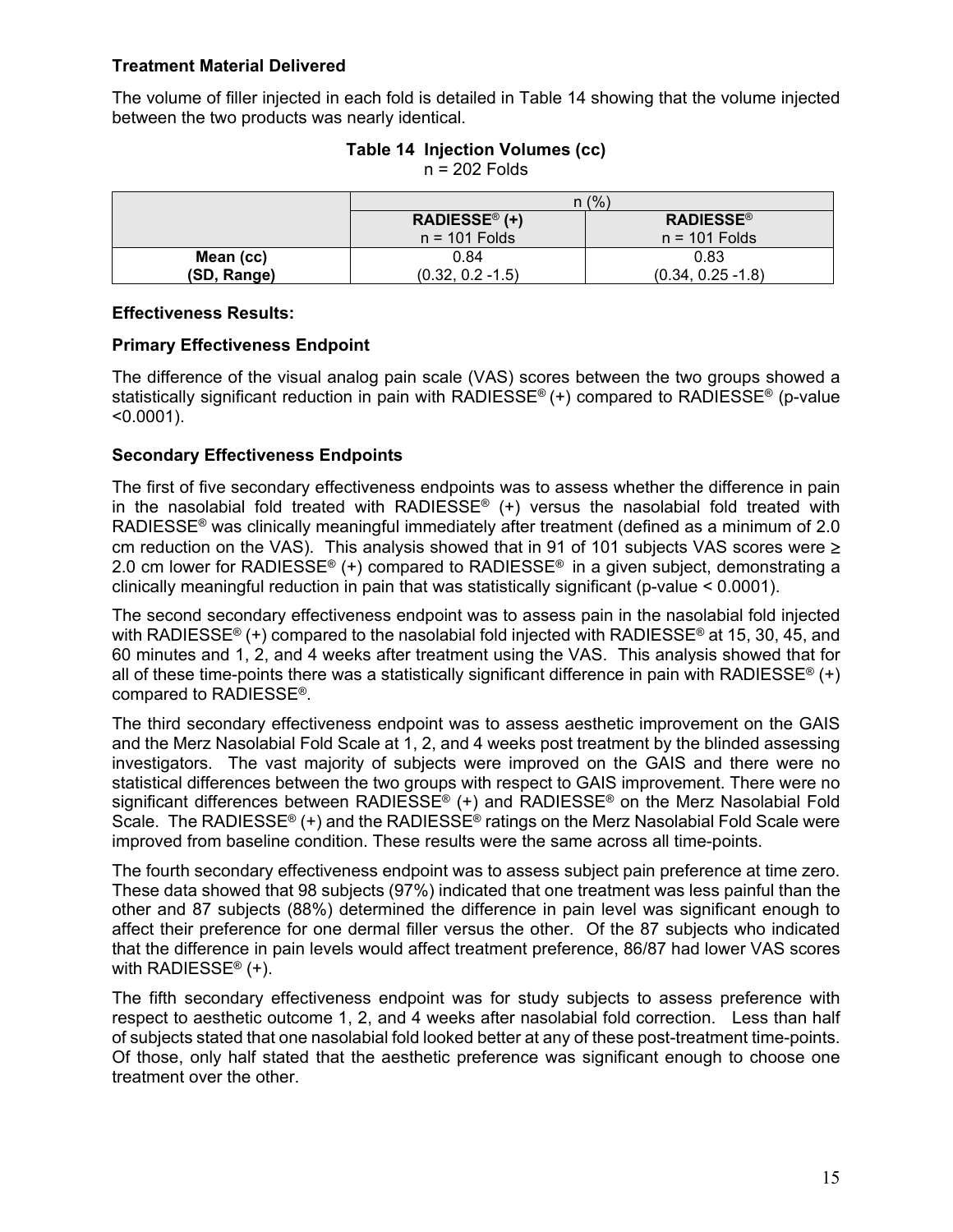#### **Treatment Material Delivered**

The volume of filler injected in each fold is detailed in Table 14 showing that the volume injected between the two products was nearly identical.

|             |                           | n (% )               |
|-------------|---------------------------|----------------------|
|             | RADIESSE <sup>®</sup> (+) | <b>RADIESSE®</b>     |
|             | $n = 101$ Folds           | $n = 101$ Folds      |
| Mean (cc)   | 0.84                      | 0.83                 |
| (SD, Range) | $(0.32, 0.2 - 1.5)$       | $(0.34, 0.25 - 1.8)$ |

## **Table 14 Injection Volumes (cc)**

n = 202 Folds

#### **Effectiveness Results:**

#### **Primary Effectiveness Endpoint**

The difference of the visual analog pain scale (VAS) scores between the two groups showed a statistically significant reduction in pain with RADIESSE® (+) compared to RADIESSE® (p-value  $< 0.0001$ ).

#### **Secondary Effectiveness Endpoints**

The first of five secondary effectiveness endpoints was to assess whether the difference in pain in the nasolabial fold treated with RADIESSE<sup>®</sup> (+) versus the nasolabial fold treated with RADIESSE<sup>®</sup> was clinically meaningful immediately after treatment (defined as a minimum of 2.0 cm reduction on the VAS). This analysis showed that in 91 of 101 subjects VAS scores were  $\ge$ 2.0 cm lower for RADIESSE<sup>®</sup> (+) compared to RADIESSE<sup>®</sup> in a given subject, demonstrating a clinically meaningful reduction in pain that was statistically significant (p-value < 0.0001).

The second secondary effectiveness endpoint was to assess pain in the nasolabial fold injected with RADIESSE<sup>®</sup> (+) compared to the nasolabial fold injected with RADIESSE<sup>®</sup> at 15, 30, 45, and 60 minutes and 1, 2, and 4 weeks after treatment using the VAS. This analysis showed that for all of these time-points there was a statistically significant difference in pain with RADIESSE<sup>®</sup> (+) compared to RADIESSE®.

The third secondary effectiveness endpoint was to assess aesthetic improvement on the GAIS and the Merz Nasolabial Fold Scale at 1, 2, and 4 weeks post treatment by the blinded assessing investigators. The vast majority of subjects were improved on the GAIS and there were no statistical differences between the two groups with respect to GAIS improvement. There were no significant differences between RADIESSE® (+) and RADIESSE® on the Merz Nasolabial Fold Scale. The RADIESSE<sup>®</sup> (+) and the RADIESSE<sup>®</sup> ratings on the Merz Nasolabial Fold Scale were improved from baseline condition. These results were the same across all time-points.

The fourth secondary effectiveness endpoint was to assess subject pain preference at time zero. These data showed that 98 subjects (97%) indicated that one treatment was less painful than the other and 87 subjects (88%) determined the difference in pain level was significant enough to affect their preference for one dermal filler versus the other. Of the 87 subjects who indicated that the difference in pain levels would affect treatment preference, 86/87 had lower VAS scores with RADIESSE<sup>®</sup> (+).

The fifth secondary effectiveness endpoint was for study subjects to assess preference with respect to aesthetic outcome 1, 2, and 4 weeks after nasolabial fold correction. Less than half of subjects stated that one nasolabial fold looked better at any of these post-treatment time-points. Of those, only half stated that the aesthetic preference was significant enough to choose one treatment over the other.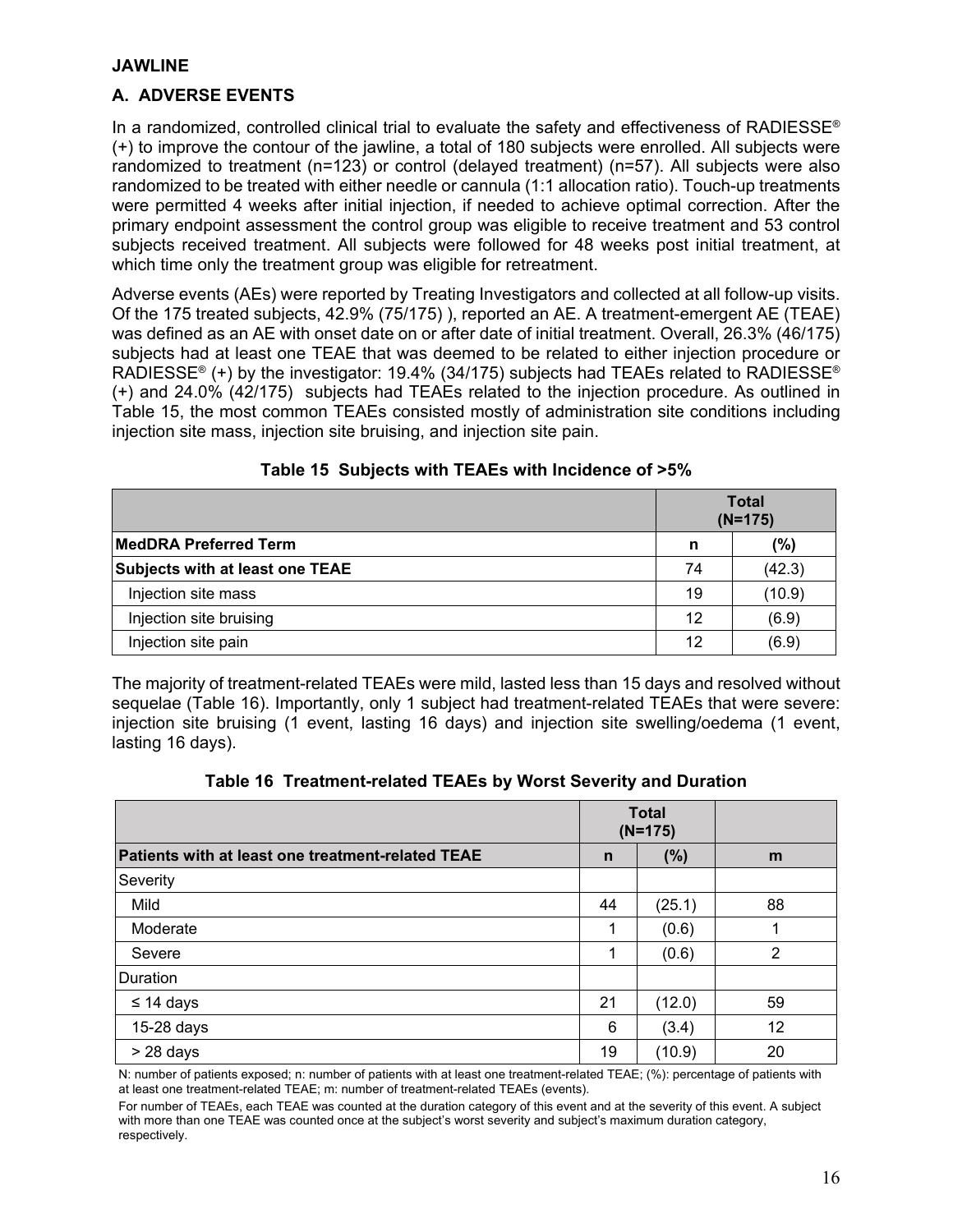#### **JAWLINE**

#### **A. ADVERSE EVENTS**

In a randomized, controlled clinical trial to evaluate the safety and effectiveness of RADIESSE<sup>®</sup> (+) to improve the contour of the jawline, a total of 180 subjects were enrolled. All subjects were randomized to treatment (n=123) or control (delayed treatment) (n=57). All subjects were also randomized to be treated with either needle or cannula (1:1 allocation ratio). Touch-up treatments were permitted 4 weeks after initial injection, if needed to achieve optimal correction. After the primary endpoint assessment the control group was eligible to receive treatment and 53 control subjects received treatment. All subjects were followed for 48 weeks post initial treatment, at which time only the treatment group was eligible for retreatment.

Adverse events (AEs) were reported by Treating Investigators and collected at all follow-up visits. Of the 175 treated subjects, 42.9% (75/175) ), reported an AE. A treatment-emergent AE (TEAE) was defined as an AE with onset date on or after date of initial treatment. Overall, 26.3% (46/175) subjects had at least one TEAE that was deemed to be related to either injection procedure or RADIESSE® (+) by the investigator: 19.4% (34/175) subjects had TEAEs related to RADIESSE® (+) and 24.0% (42/175) subjects had TEAEs related to the injection procedure. As outlined in Table 15, the most common TEAEs consisted mostly of administration site conditions including injection site mass, injection site bruising, and injection site pain.

|                                        | <b>Total</b><br>$(N=175)$ |                |
|----------------------------------------|---------------------------|----------------|
| <b>MedDRA Preferred Term</b>           | n                         | $\frac{10}{6}$ |
| <b>Subjects with at least one TEAE</b> | 74                        | (42.3)         |
| Injection site mass                    | 19                        | (10.9)         |
| Injection site bruising                | 12                        | (6.9)          |
| Injection site pain                    | 12                        | (6.9)          |

#### **Table 15 Subjects with TEAEs with Incidence of >5%**

The majority of treatment-related TEAEs were mild, lasted less than 15 days and resolved without sequelae (Table 16). Importantly, only 1 subject had treatment-related TEAEs that were severe: injection site bruising (1 event, lasting 16 days) and injection site swelling/oedema (1 event, lasting 16 days).

#### **Table 16 Treatment-related TEAEs by Worst Severity and Duration**

|                                                   |              | <b>Total</b><br>$(N=175)$ |    |
|---------------------------------------------------|--------------|---------------------------|----|
| Patients with at least one treatment-related TEAE | $\mathsf{n}$ | (%)                       | m  |
| Severity                                          |              |                           |    |
| Mild                                              | 44           | (25.1)                    | 88 |
| Moderate                                          | 1            | (0.6)                     |    |
| Severe                                            | 1            | (0.6)                     | 2  |
| Duration                                          |              |                           |    |
| $\leq$ 14 days                                    | 21           | (12.0)                    | 59 |
| 15-28 days                                        | 6            | (3.4)                     | 12 |
| $> 28$ days                                       | 19           | (10.9)                    | 20 |

N: number of patients exposed; n: number of patients with at least one treatment-related TEAE; (%): percentage of patients with at least one treatment-related TEAE; m: number of treatment-related TEAEs (events).

For number of TEAEs, each TEAE was counted at the duration category of this event and at the severity of this event. A subject with more than one TEAE was counted once at the subject's worst severity and subject's maximum duration category, respectively.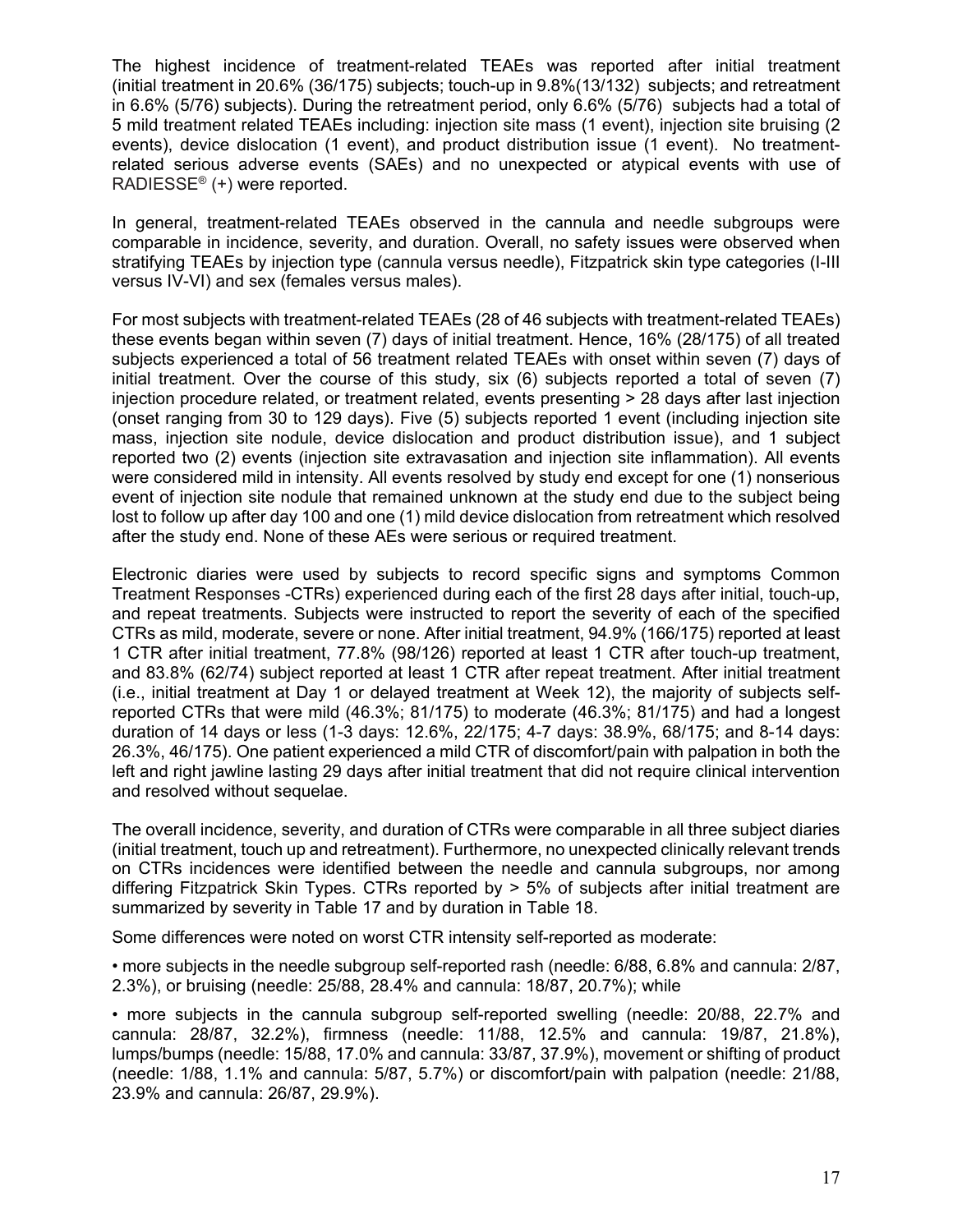The highest incidence of treatment-related TEAEs was reported after initial treatment (initial treatment in 20.6% (36/175) subjects; touch-up in 9.8%(13/132) subjects; and retreatment in 6.6% (5/76) subjects). During the retreatment period, only 6.6% (5/76) subjects had a total of 5 mild treatment related TEAEs including: injection site mass (1 event), injection site bruising (2 events), device dislocation (1 event), and product distribution issue (1 event). No treatmentrelated serious adverse events (SAEs) and no unexpected or atypical events with use of RADIESSE® (+) were reported.

In general, treatment-related TEAEs observed in the cannula and needle subgroups were comparable in incidence, severity, and duration. Overall, no safety issues were observed when stratifying TEAEs by injection type (cannula versus needle), Fitzpatrick skin type categories (I-III versus IV-VI) and sex (females versus males).

For most subjects with treatment-related TEAEs (28 of 46 subjects with treatment-related TEAEs) these events began within seven (7) days of initial treatment. Hence, 16% (28/175) of all treated subjects experienced a total of 56 treatment related TEAEs with onset within seven (7) days of initial treatment. Over the course of this study, six (6) subjects reported a total of seven (7) injection procedure related, or treatment related, events presenting > 28 days after last injection (onset ranging from 30 to 129 days). Five (5) subjects reported 1 event (including injection site mass, injection site nodule, device dislocation and product distribution issue), and 1 subject reported two (2) events (injection site extravasation and injection site inflammation). All events were considered mild in intensity. All events resolved by study end except for one (1) nonserious event of injection site nodule that remained unknown at the study end due to the subject being lost to follow up after day 100 and one (1) mild device dislocation from retreatment which resolved after the study end. None of these AEs were serious or required treatment.

Electronic diaries were used by subjects to record specific signs and symptoms Common Treatment Responses -CTRs) experienced during each of the first 28 days after initial, touch-up, and repeat treatments. Subjects were instructed to report the severity of each of the specified CTRs as mild, moderate, severe or none. After initial treatment, 94.9% (166/175) reported at least 1 CTR after initial treatment, 77.8% (98/126) reported at least 1 CTR after touch-up treatment, and 83.8% (62/74) subject reported at least 1 CTR after repeat treatment. After initial treatment (i.e., initial treatment at Day 1 or delayed treatment at Week 12), the majority of subjects selfreported CTRs that were mild (46.3%; 81/175) to moderate (46.3%; 81/175) and had a longest duration of 14 days or less (1-3 days: 12.6%, 22/175; 4-7 days: 38.9%, 68/175; and 8-14 days: 26.3%, 46/175). One patient experienced a mild CTR of discomfort/pain with palpation in both the left and right jawline lasting 29 days after initial treatment that did not require clinical intervention and resolved without sequelae.

The overall incidence, severity, and duration of CTRs were comparable in all three subject diaries (initial treatment, touch up and retreatment). Furthermore, no unexpected clinically relevant trends on CTRs incidences were identified between the needle and cannula subgroups, nor among differing Fitzpatrick Skin Types. CTRs reported by > 5% of subjects after initial treatment are summarized by severity in Table 17 and by duration in Table 18.

Some differences were noted on worst CTR intensity self-reported as moderate:

• more subjects in the needle subgroup self-reported rash (needle: 6/88, 6.8% and cannula: 2/87, 2.3%), or bruising (needle: 25/88, 28.4% and cannula: 18/87, 20.7%); while

• more subjects in the cannula subgroup self-reported swelling (needle: 20/88, 22.7% and cannula: 28/87, 32.2%), firmness (needle: 11/88, 12.5% and cannula: 19/87, 21.8%), lumps/bumps (needle: 15/88, 17.0% and cannula: 33/87, 37.9%), movement or shifting of product (needle: 1/88, 1.1% and cannula: 5/87, 5.7%) or discomfort/pain with palpation (needle: 21/88, 23.9% and cannula: 26/87, 29.9%).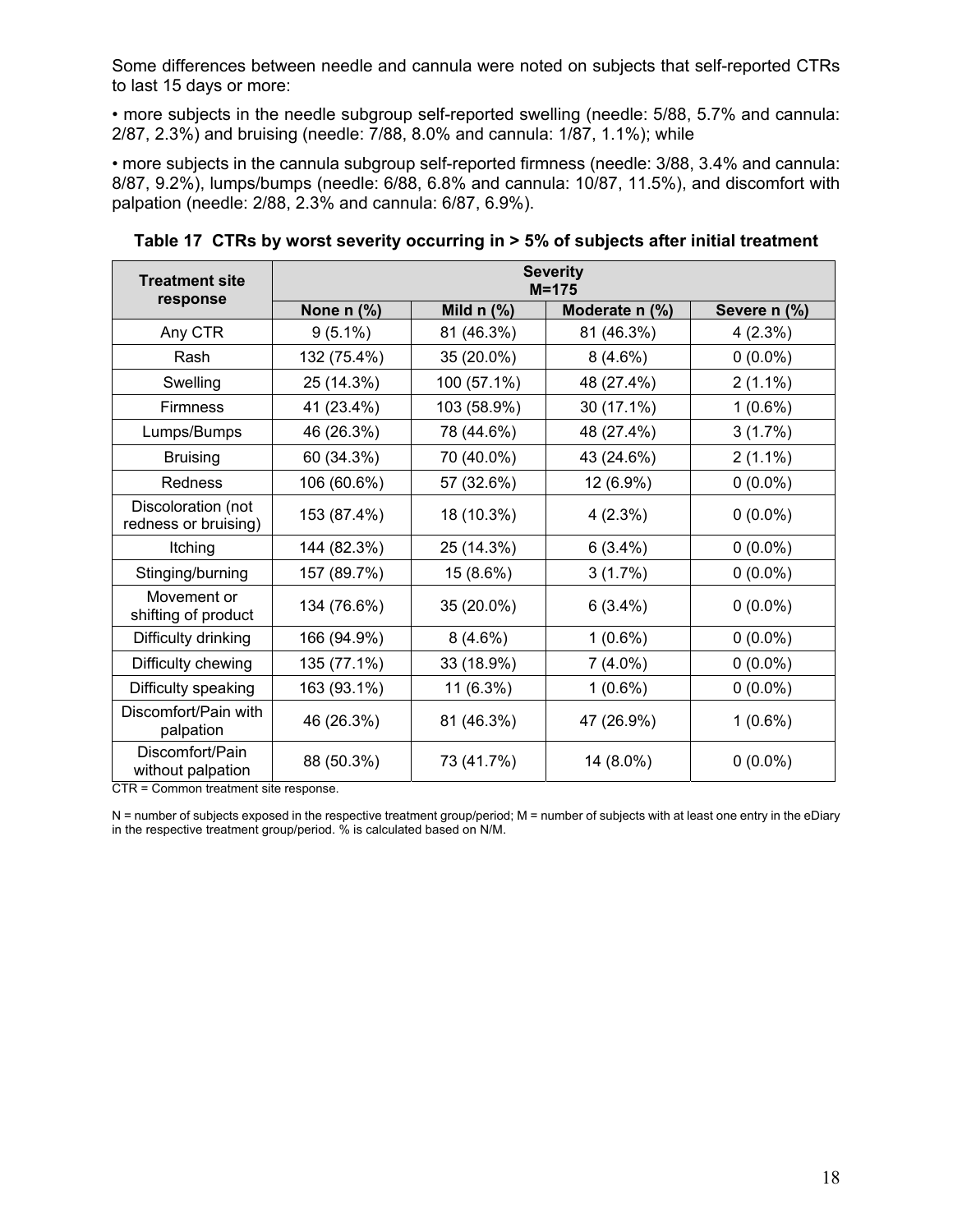Some differences between needle and cannula were noted on subjects that self-reported CTRs to last 15 days or more:

• more subjects in the needle subgroup self-reported swelling (needle: 5/88, 5.7% and cannula: 2/87, 2.3%) and bruising (needle: 7/88, 8.0% and cannula: 1/87, 1.1%); while

• more subjects in the cannula subgroup self-reported firmness (needle: 3/88, 3.4% and cannula: 8/87, 9.2%), lumps/bumps (needle: 6/88, 6.8% and cannula: 10/87, 11.5%), and discomfort with palpation (needle: 2/88, 2.3% and cannula: 6/87, 6.9%).

| <b>Treatment site</b>                      | <b>Severity</b><br>$M = 175$ |                                     |                |              |  |
|--------------------------------------------|------------------------------|-------------------------------------|----------------|--------------|--|
| response                                   | None $n$ (%)                 | Mild $n$ $\left(\frac{9}{6}\right)$ | Moderate n (%) | Severe n (%) |  |
| Any CTR                                    | $9(5.1\%)$                   | 81 (46.3%)                          | 81 (46.3%)     | 4(2.3%)      |  |
| Rash                                       | 132 (75.4%)                  | 35 (20.0%)                          | $8(4.6\%)$     | $0(0.0\%)$   |  |
| Swelling                                   | 25 (14.3%)                   | 100 (57.1%)                         | 48 (27.4%)     | $2(1.1\%)$   |  |
| <b>Firmness</b>                            | 41 (23.4%)                   | 103 (58.9%)                         | 30 (17.1%)     | $1(0.6\%)$   |  |
| Lumps/Bumps                                | 46 (26.3%)                   | 78 (44.6%)                          | 48 (27.4%)     | 3(1.7%)      |  |
| <b>Bruising</b>                            | 60 (34.3%)                   | 70 (40.0%)                          | 43 (24.6%)     | $2(1.1\%)$   |  |
| <b>Redness</b>                             | 106 (60.6%)                  | 57 (32.6%)                          | 12 (6.9%)      | $0(0.0\%)$   |  |
| Discoloration (not<br>redness or bruising) | 153 (87.4%)                  | 18 (10.3%)                          | 4(2.3%)        | $0(0.0\%)$   |  |
| Itching                                    | 144 (82.3%)                  | 25 (14.3%)                          | $6(3.4\%)$     | $0(0.0\%)$   |  |
| Stinging/burning                           | 157 (89.7%)                  | 15 (8.6%)                           | 3(1.7%)        | $0(0.0\%)$   |  |
| Movement or<br>shifting of product         | 134 (76.6%)                  | 35 (20.0%)                          | $6(3.4\%)$     | $0(0.0\%)$   |  |
| Difficulty drinking                        | 166 (94.9%)                  | $8(4.6\%)$                          | $1(0.6\%)$     | $0(0.0\%)$   |  |
| Difficulty chewing                         | 135 (77.1%)                  | 33 (18.9%)                          | $7(4.0\%)$     | $0(0.0\%)$   |  |
| Difficulty speaking                        | 163 (93.1%)                  | 11 (6.3%)                           | $1(0.6\%)$     | $0(0.0\%)$   |  |
| Discomfort/Pain with<br>palpation          | 46 (26.3%)                   | 81 (46.3%)                          | 47 (26.9%)     | $1(0.6\%)$   |  |
| Discomfort/Pain<br>without palpation       | 88 (50.3%)                   | 73 (41.7%)                          | 14 (8.0%)      | $0(0.0\%)$   |  |

**Table 17 CTRs by worst severity occurring in > 5% of subjects after initial treatment** 

CTR = Common treatment site response.

N = number of subjects exposed in the respective treatment group/period; M = number of subjects with at least one entry in the eDiary in the respective treatment group/period. % is calculated based on N/M.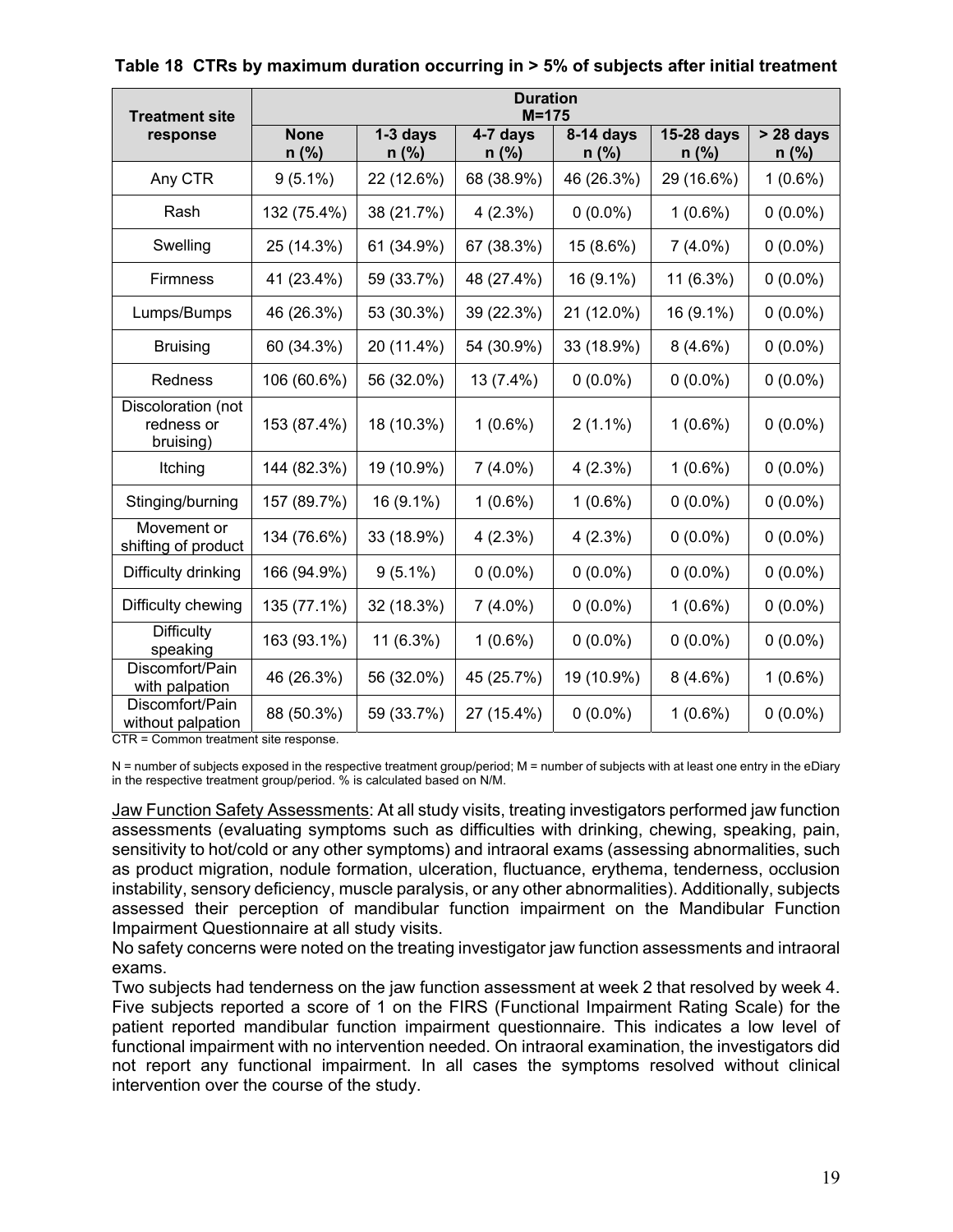| <b>Treatment site</b>                         | <b>Duration</b><br>$M = 175$ |                       |                     |                      |                       |                        |
|-----------------------------------------------|------------------------------|-----------------------|---------------------|----------------------|-----------------------|------------------------|
| response                                      | <b>None</b><br>$n$ (%)       | $1-3$ days<br>$n$ (%) | 4-7 days<br>$n$ (%) | 8-14 days<br>$n$ (%) | 15-28 days<br>$n$ (%) | $> 28$ days<br>$n$ (%) |
| Any CTR                                       | $9(5.1\%)$                   | 22 (12.6%)            | 68 (38.9%)          | 46 (26.3%)           | 29 (16.6%)            | $1(0.6\%)$             |
| Rash                                          | 132 (75.4%)                  | 38 (21.7%)            | 4(2.3%)             | $0(0.0\%)$           | $1(0.6\%)$            | $0(0.0\%)$             |
| Swelling                                      | 25 (14.3%)                   | 61 (34.9%)            | 67 (38.3%)          | 15 (8.6%)            | $7(4.0\%)$            | $0(0.0\%)$             |
| <b>Firmness</b>                               | 41 (23.4%)                   | 59 (33.7%)            | 48 (27.4%)          | 16 (9.1%)            | 11 (6.3%)             | $0(0.0\%)$             |
| Lumps/Bumps                                   | 46 (26.3%)                   | 53 (30.3%)            | 39 (22.3%)          | 21 (12.0%)           | 16 (9.1%)             | $0(0.0\%)$             |
| <b>Bruising</b>                               | 60 (34.3%)                   | 20 (11.4%)            | 54 (30.9%)          | 33 (18.9%)           | $8(4.6\%)$            | $0(0.0\%)$             |
| Redness                                       | 106 (60.6%)                  | 56 (32.0%)            | 13 (7.4%)           | $0(0.0\%)$           | $0(0.0\%)$            | $0(0.0\%)$             |
| Discoloration (not<br>redness or<br>bruising) | 153 (87.4%)                  | 18 (10.3%)            | $1(0.6\%)$          | $2(1.1\%)$           | $1(0.6\%)$            | $0(0.0\%)$             |
| Itching                                       | 144 (82.3%)                  | 19 (10.9%)            | $7(4.0\%)$          | 4(2.3%)              | $1(0.6\%)$            | $0(0.0\%)$             |
| Stinging/burning                              | 157 (89.7%)                  | 16 (9.1%)             | $1(0.6\%)$          | $1(0.6\%)$           | $0(0.0\%)$            | $0(0.0\%)$             |
| Movement or<br>shifting of product            | 134 (76.6%)                  | 33 (18.9%)            | 4(2.3%)             | 4(2.3%)              | $0(0.0\%)$            | $0(0.0\%)$             |
| Difficulty drinking                           | 166 (94.9%)                  | $9(5.1\%)$            | $0(0.0\%)$          | $0(0.0\%)$           | $0(0.0\%)$            | $0(0.0\%)$             |
| Difficulty chewing                            | 135 (77.1%)                  | 32 (18.3%)            | $7(4.0\%)$          | $0(0.0\%)$           | $1(0.6\%)$            | $0(0.0\%)$             |
| <b>Difficulty</b><br>speaking                 | 163 (93.1%)                  | 11 (6.3%)             | $1(0.6\%)$          | $0(0.0\%)$           | $0(0.0\%)$            | $0(0.0\%)$             |
| Discomfort/Pain<br>with palpation             | 46 (26.3%)                   | 56 (32.0%)            | 45 (25.7%)          | 19 (10.9%)           | $8(4.6\%)$            | $1(0.6\%)$             |
| Discomfort/Pain<br>without palpation          | 88 (50.3%)                   | 59 (33.7%)            | 27 (15.4%)          | $0(0.0\%)$           | $1(0.6\%)$            | $0(0.0\%)$             |

#### **Table 18 CTRs by maximum duration occurring in > 5% of subjects after initial treatment**

CTR = Common treatment site response.

N = number of subjects exposed in the respective treatment group/period; M = number of subjects with at least one entry in the eDiary in the respective treatment group/period. % is calculated based on N/M.

Jaw Function Safety Assessments: At all study visits, treating investigators performed jaw function assessments (evaluating symptoms such as difficulties with drinking, chewing, speaking, pain, sensitivity to hot/cold or any other symptoms) and intraoral exams (assessing abnormalities, such as product migration, nodule formation, ulceration, fluctuance, erythema, tenderness, occlusion instability, sensory deficiency, muscle paralysis, or any other abnormalities). Additionally, subjects assessed their perception of mandibular function impairment on the Mandibular Function Impairment Questionnaire at all study visits.

No safety concerns were noted on the treating investigator jaw function assessments and intraoral exams.

Two subjects had tenderness on the jaw function assessment at week 2 that resolved by week 4. Five subjects reported a score of 1 on the FIRS (Functional Impairment Rating Scale) for the patient reported mandibular function impairment questionnaire. This indicates a low level of functional impairment with no intervention needed. On intraoral examination, the investigators did not report any functional impairment. In all cases the symptoms resolved without clinical intervention over the course of the study.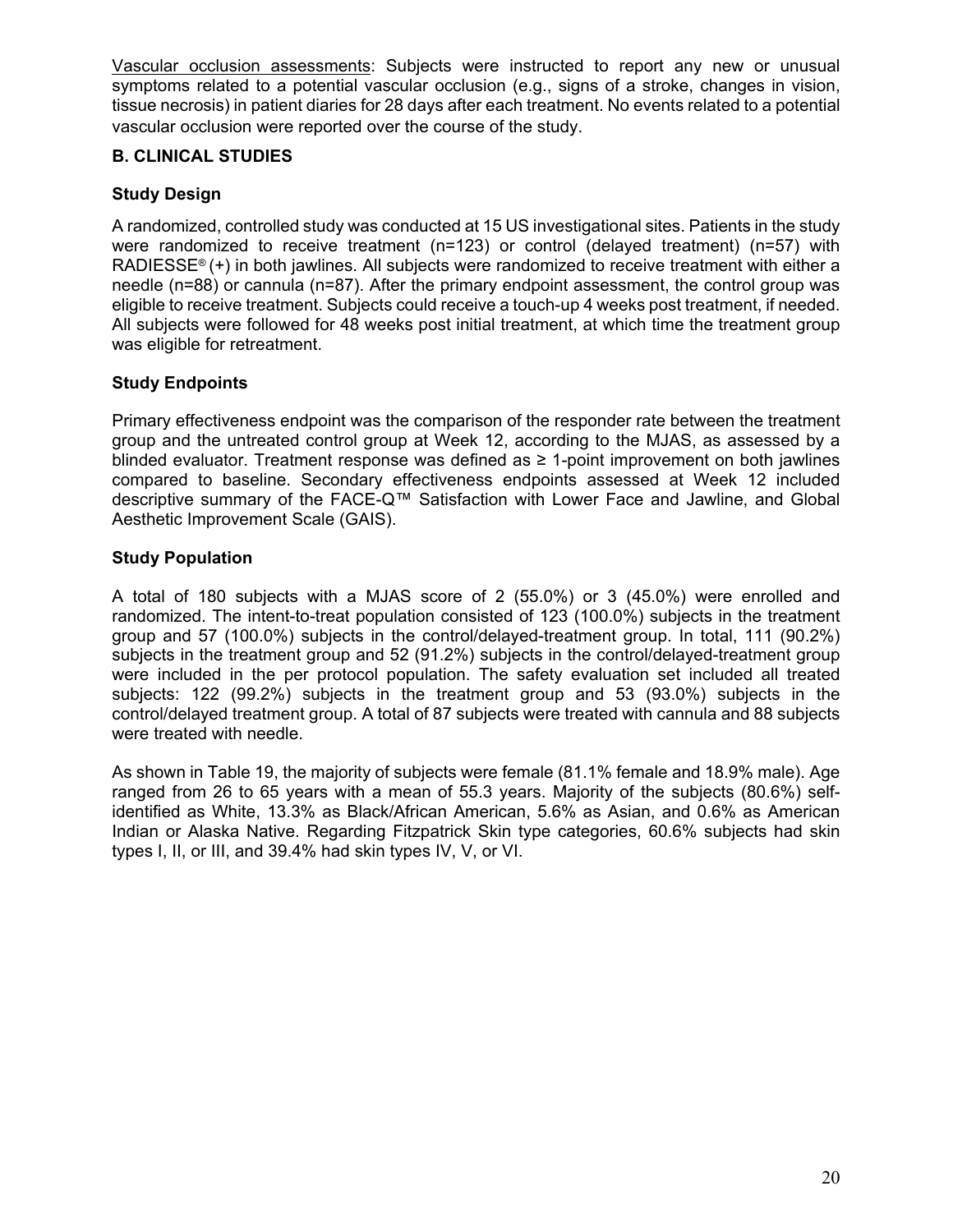Vascular occlusion assessments: Subjects were instructed to report any new or unusual symptoms related to a potential vascular occlusion (e.g., signs of a stroke, changes in vision, tissue necrosis) in patient diaries for 28 days after each treatment. No events related to a potential vascular occlusion were reported over the course of the study.

#### **B. CLINICAL STUDIES**

#### **Study Design**

A randomized, controlled study was conducted at 15 US investigational sites. Patients in the study were randomized to receive treatment (n=123) or control (delayed treatment) (n=57) with RADIESSE® (+) in both jawlines. All subjects were randomized to receive treatment with either a needle (n=88) or cannula (n=87). After the primary endpoint assessment, the control group was eligible to receive treatment. Subjects could receive a touch-up 4 weeks post treatment, if needed. All subjects were followed for 48 weeks post initial treatment, at which time the treatment group was eligible for retreatment.

#### **Study Endpoints**

Primary effectiveness endpoint was the comparison of the responder rate between the treatment group and the untreated control group at Week 12, according to the MJAS, as assessed by a blinded evaluator. Treatment response was defined as ≥ 1-point improvement on both jawlines compared to baseline. Secondary effectiveness endpoints assessed at Week 12 included descriptive summary of the FACE-Q™ Satisfaction with Lower Face and Jawline, and Global Aesthetic Improvement Scale (GAIS).

#### **Study Population**

A total of 180 subjects with a MJAS score of 2 (55.0%) or 3 (45.0%) were enrolled and randomized. The intent-to-treat population consisted of 123 (100.0%) subjects in the treatment group and 57 (100.0%) subjects in the control/delayed-treatment group. In total, 111 (90.2%) subjects in the treatment group and 52 (91.2%) subjects in the control/delayed-treatment group were included in the per protocol population. The safety evaluation set included all treated subjects: 122 (99.2%) subjects in the treatment group and 53 (93.0%) subjects in the control/delayed treatment group. A total of 87 subjects were treated with cannula and 88 subjects were treated with needle.

As shown in Table 19, the majority of subjects were female (81.1% female and 18.9% male). Age ranged from 26 to 65 years with a mean of 55.3 years. Majority of the subjects (80.6%) selfidentified as White, 13.3% as Black/African American, 5.6% as Asian, and 0.6% as American Indian or Alaska Native. Regarding Fitzpatrick Skin type categories, 60.6% subjects had skin types I, II, or III, and 39.4% had skin types IV, V, or VI.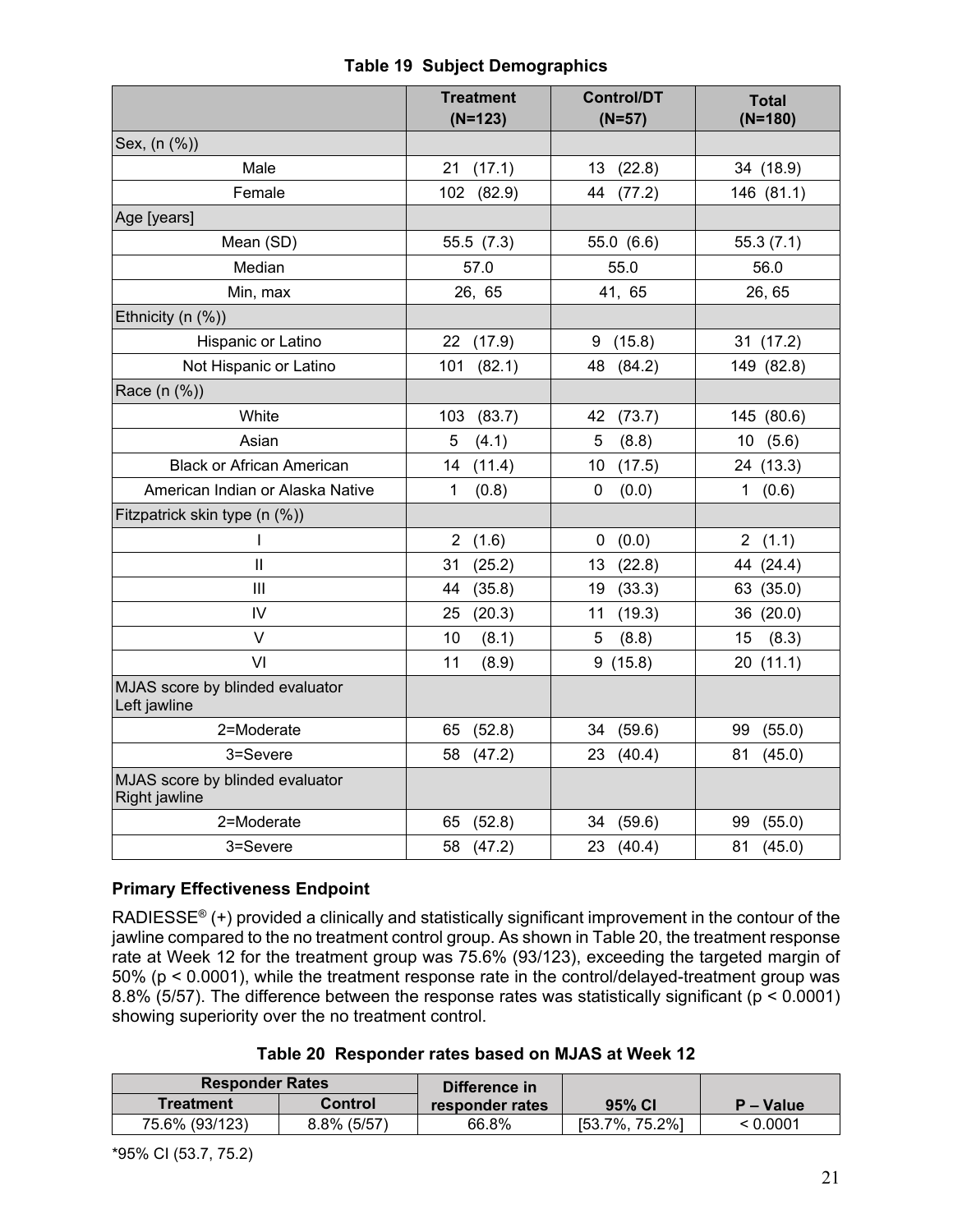|                                                  | <b>Treatment</b><br>$(N=123)$ | <b>Control/DT</b><br>$(N=57)$ | <b>Total</b><br>$(N=180)$      |
|--------------------------------------------------|-------------------------------|-------------------------------|--------------------------------|
| Sex, (n (%))                                     |                               |                               |                                |
| Male                                             | 21(17.1)                      | 13 (22.8)                     | 34 (18.9)                      |
| Female                                           | 102<br>(82.9)                 | (77.2)<br>44                  | 146 (81.1)                     |
| Age [years]                                      |                               |                               |                                |
| Mean (SD)                                        | 55.5(7.3)                     | 55.0 (6.6)                    | 55.3(7.1)                      |
| Median                                           | 57.0                          | 55.0                          | 56.0                           |
| Min, max                                         | 26, 65                        | 41, 65                        | 26, 65                         |
| Ethnicity $(n (%))$                              |                               |                               |                                |
| Hispanic or Latino                               | 22<br>(17.9)                  | 9<br>(15.8)                   | 31(17.2)                       |
| Not Hispanic or Latino                           | 101<br>(82.1)                 | 48 (84.2)                     | 149 (82.8)                     |
| Race (n (%))                                     |                               |                               |                                |
| White                                            | (83.7)<br>103                 | 42<br>(73.7)                  | 145 (80.6)                     |
| Asian                                            | 5<br>(4.1)                    | 5<br>(8.8)                    | (5.6)<br>10                    |
| <b>Black or African American</b>                 | 14<br>(11.4)                  | (17.5)<br>10                  | 24 (13.3)                      |
| American Indian or Alaska Native                 | $\mathbf{1}$<br>(0.8)         | $\mathbf 0$<br>(0.0)          | $\mathbf 1$<br>(0.6)           |
| Fitzpatrick skin type (n (%))                    |                               |                               |                                |
| $\mathbf{I}$                                     | $\overline{2}$<br>(1.6)       | 0<br>(0.0)                    | (1.1)<br>$\mathbf{2}^{\prime}$ |
| $\mathbf{I}$                                     | 31<br>(25.2)                  | 13<br>(22.8)                  | 44 (24.4)                      |
| III                                              | (35.8)<br>44                  | (33.3)<br>19                  | (35.0)<br>63                   |
| IV                                               | (20.3)<br>25                  | 11<br>(19.3)                  | 36 (20.0)                      |
| V                                                | 10<br>(8.1)                   | 5<br>(8.8)                    | (8.3)<br>15                    |
| VI                                               | 11<br>(8.9)                   | 9(15.8)                       | 20(11.1)                       |
| MJAS score by blinded evaluator<br>Left jawline  |                               |                               |                                |
| 2=Moderate                                       | (52.8)<br>65                  | 34<br>(59.6)                  | 99<br>(55.0)                   |
| 3=Severe                                         | (47.2)<br>58                  | 23<br>(40.4)                  | 81<br>(45.0)                   |
| MJAS score by blinded evaluator<br>Right jawline |                               |                               |                                |
| 2=Moderate                                       | (52.8)<br>65                  | 34<br>(59.6)                  | 99<br>(55.0)                   |
| 3=Severe                                         | (47.2)<br>58                  | 23<br>(40.4)                  | 81<br>(45.0)                   |

#### **Table 19 Subject Demographics**

#### **Primary Effectiveness Endpoint**

RADIESSE® (+) provided a clinically and statistically significant improvement in the contour of the jawline compared to the no treatment control group. As shown in Table 20, the treatment response rate at Week 12 for the treatment group was 75.6% (93/123), exceeding the targeted margin of 50% (p < 0.0001), while the treatment response rate in the control/delayed-treatment group was 8.8% (5/57). The difference between the response rates was statistically significant (p < 0.0001) showing superiority over the no treatment control.

|  | Table 20 Responder rates based on MJAS at Week 12 |  |  |
|--|---------------------------------------------------|--|--|
|--|---------------------------------------------------|--|--|

| <b>Responder Rates</b> |                | Difference in   |                    |             |
|------------------------|----------------|-----------------|--------------------|-------------|
| Treatment              | <b>Control</b> | responder rates | 95% CI             | $P - Value$ |
| 75.6% (93/123)         | 8.8% (5/57)    | 66.8%           | $[53.7\%, 75.2\%]$ | < 0.0001    |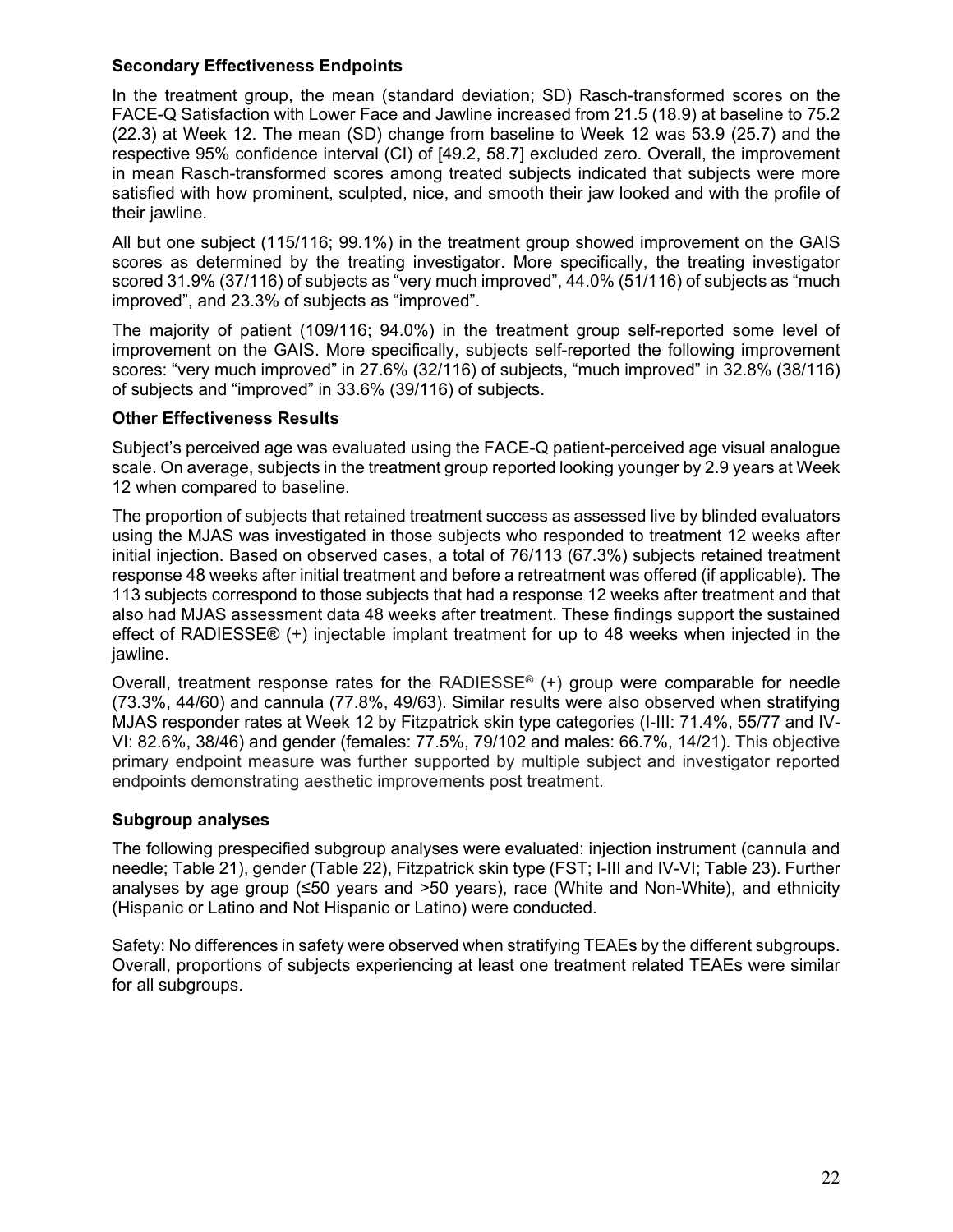#### **Secondary Effectiveness Endpoints**

In the treatment group, the mean (standard deviation; SD) Rasch-transformed scores on the FACE-Q Satisfaction with Lower Face and Jawline increased from 21.5 (18.9) at baseline to 75.2 (22.3) at Week 12. The mean (SD) change from baseline to Week 12 was 53.9 (25.7) and the respective 95% confidence interval (CI) of [49.2, 58.7] excluded zero. Overall, the improvement in mean Rasch-transformed scores among treated subjects indicated that subjects were more satisfied with how prominent, sculpted, nice, and smooth their jaw looked and with the profile of their jawline.

All but one subject (115/116; 99.1%) in the treatment group showed improvement on the GAIS scores as determined by the treating investigator. More specifically, the treating investigator scored 31.9% (37/116) of subjects as "very much improved", 44.0% (51/116) of subjects as "much improved", and 23.3% of subjects as "improved".

The majority of patient (109/116; 94.0%) in the treatment group self-reported some level of improvement on the GAIS. More specifically, subjects self-reported the following improvement scores: "very much improved" in 27.6% (32/116) of subjects, "much improved" in 32.8% (38/116) of subjects and "improved" in 33.6% (39/116) of subjects.

#### **Other Effectiveness Results**

Subject's perceived age was evaluated using the FACE-Q patient-perceived age visual analogue scale. On average, subjects in the treatment group reported looking younger by 2.9 years at Week 12 when compared to baseline.

The proportion of subjects that retained treatment success as assessed live by blinded evaluators using the MJAS was investigated in those subjects who responded to treatment 12 weeks after initial injection. Based on observed cases, a total of 76/113 (67.3%) subjects retained treatment response 48 weeks after initial treatment and before a retreatment was offered (if applicable). The 113 subjects correspond to those subjects that had a response 12 weeks after treatment and that also had MJAS assessment data 48 weeks after treatment. These findings support the sustained effect of RADIESSE® (+) injectable implant treatment for up to 48 weeks when injected in the jawline.

Overall, treatment response rates for the RADIESSE<sup>®</sup>  $(+)$  group were comparable for needle (73.3%, 44/60) and cannula (77.8%, 49/63). Similar results were also observed when stratifying MJAS responder rates at Week 12 by Fitzpatrick skin type categories (I-III: 71.4%, 55/77 and IV-VI: 82.6%, 38/46) and gender (females: 77.5%, 79/102 and males: 66.7%, 14/21). This objective primary endpoint measure was further supported by multiple subject and investigator reported endpoints demonstrating aesthetic improvements post treatment.

#### **Subgroup analyses**

The following prespecified subgroup analyses were evaluated: injection instrument (cannula and needle; Table 21), gender (Table 22), Fitzpatrick skin type (FST; I-III and IV-VI; Table 23). Further analyses by age group ( $\leq 50$  years and  $>50$  years), race (White and Non-White), and ethnicity (Hispanic or Latino and Not Hispanic or Latino) were conducted.

Safety: No differences in safety were observed when stratifying TEAEs by the different subgroups. Overall, proportions of subjects experiencing at least one treatment related TEAEs were similar for all subgroups.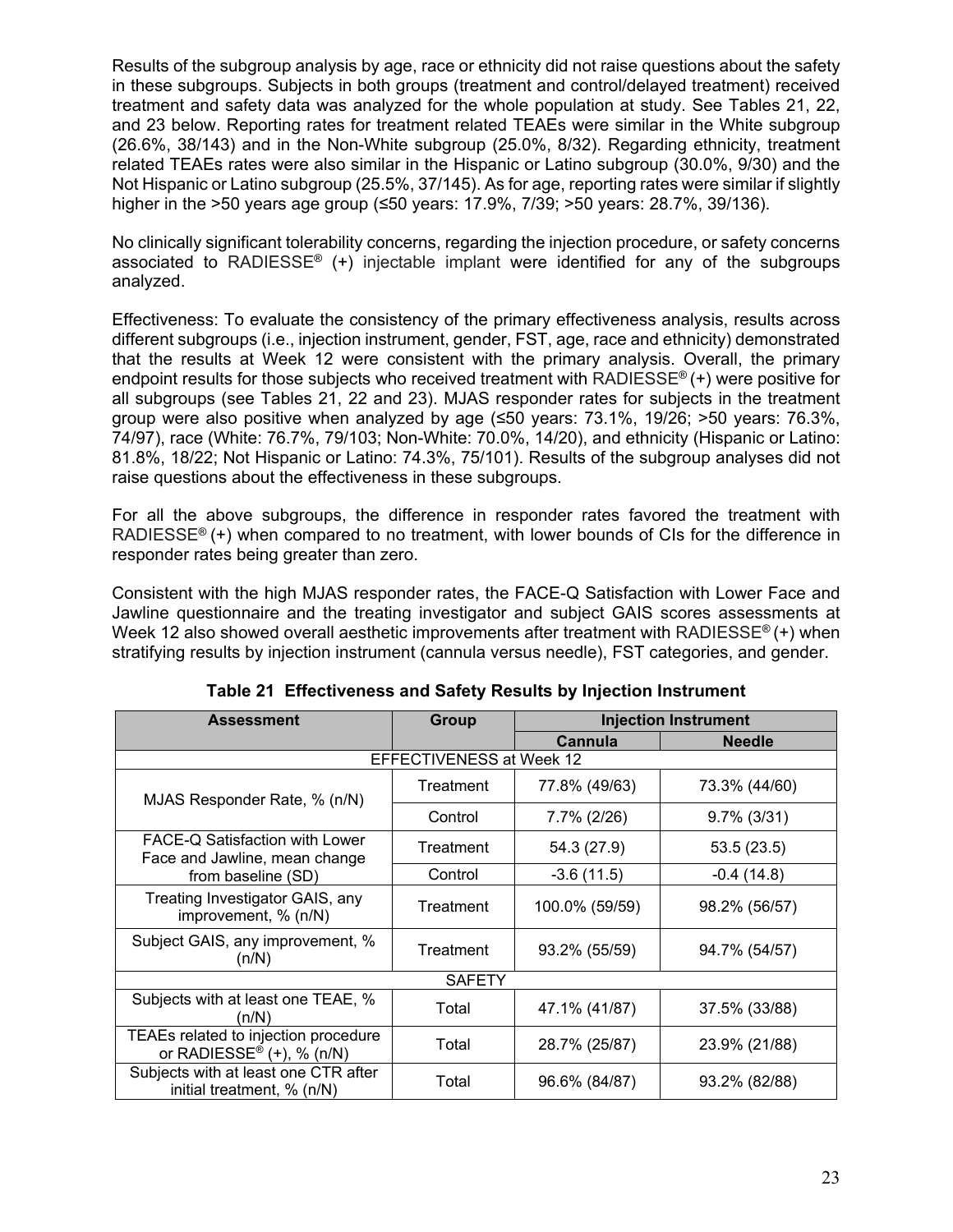Results of the subgroup analysis by age, race or ethnicity did not raise questions about the safety in these subgroups. Subjects in both groups (treatment and control/delayed treatment) received treatment and safety data was analyzed for the whole population at study. See Tables 21, 22, and 23 below. Reporting rates for treatment related TEAEs were similar in the White subgroup (26.6%, 38/143) and in the Non-White subgroup (25.0%, 8/32). Regarding ethnicity, treatment related TEAEs rates were also similar in the Hispanic or Latino subgroup (30.0%, 9/30) and the Not Hispanic or Latino subgroup (25.5%, 37/145). As for age, reporting rates were similar if slightly higher in the >50 years age group (≤50 years: 17.9%, 7/39; >50 years: 28.7%, 39/136).

No clinically significant tolerability concerns, regarding the injection procedure, or safety concerns associated to RADIESSE<sup>®</sup> (+) injectable implant were identified for any of the subgroups analyzed.

Effectiveness: To evaluate the consistency of the primary effectiveness analysis, results across different subgroups (i.e., injection instrument, gender, FST, age, race and ethnicity) demonstrated that the results at Week 12 were consistent with the primary analysis. Overall, the primary endpoint results for those subjects who received treatment with RADIESSE<sup>®</sup> $(+)$  were positive for all subgroups (see Tables 21, 22 and 23). MJAS responder rates for subjects in the treatment group were also positive when analyzed by age (≤50 years: 73.1%, 19/26; >50 years: 76.3%, 74/97), race (White: 76.7%, 79/103; Non-White: 70.0%, 14/20), and ethnicity (Hispanic or Latino: 81.8%, 18/22; Not Hispanic or Latino: 74.3%, 75/101). Results of the subgroup analyses did not raise questions about the effectiveness in these subgroups.

For all the above subgroups, the difference in responder rates favored the treatment with RADIESSE<sup>®</sup> (+) when compared to no treatment, with lower bounds of CIs for the difference in responder rates being greater than zero.

Consistent with the high MJAS responder rates, the FACE-Q Satisfaction with Lower Face and Jawline questionnaire and the treating investigator and subject GAIS scores assessments at Week 12 also showed overall aesthetic improvements after treatment with RADIESSE<sup>®</sup> (+) when stratifying results by injection instrument (cannula versus needle), FST categories, and gender.

| <b>Assessment</b>                                                      | Group                    | <b>Injection Instrument</b> |                |
|------------------------------------------------------------------------|--------------------------|-----------------------------|----------------|
|                                                                        |                          | Cannula                     | <b>Needle</b>  |
|                                                                        | EFFECTIVENESS at Week 12 |                             |                |
| MJAS Responder Rate, % (n/N)                                           | Treatment                | 77.8% (49/63)               | 73.3% (44/60)  |
|                                                                        | Control                  | 7.7% (2/26)                 | $9.7\%$ (3/31) |
| FACE-Q Satisfaction with Lower<br>Face and Jawline, mean change        | Treatment                | 54.3 (27.9)                 | 53.5(23.5)     |
| from baseline (SD)                                                     | Control                  | $-3.6(11.5)$                | $-0.4(14.8)$   |
| Treating Investigator GAIS, any<br>improvement, % (n/N)                | Treatment                | 100.0% (59/59)              | 98.2% (56/57)  |
| Subject GAIS, any improvement, %<br>(n/N)                              | Treatment                | 93.2% (55/59)               | 94.7% (54/57)  |
|                                                                        | <b>SAFETY</b>            |                             |                |
| Subjects with at least one TEAE, %<br>(n/N)                            | Total                    | 47.1% (41/87)               | 37.5% (33/88)  |
| TEAEs related to injection procedure<br>or RADIESSE® $(+)$ , % $(n/N)$ | Total                    | 28.7% (25/87)               | 23.9% (21/88)  |
| Subjects with at least one CTR after<br>initial treatment, % (n/N)     | Total                    | 96.6% (84/87)               | 93.2% (82/88)  |

**Table 21 Effectiveness and Safety Results by Injection Instrument**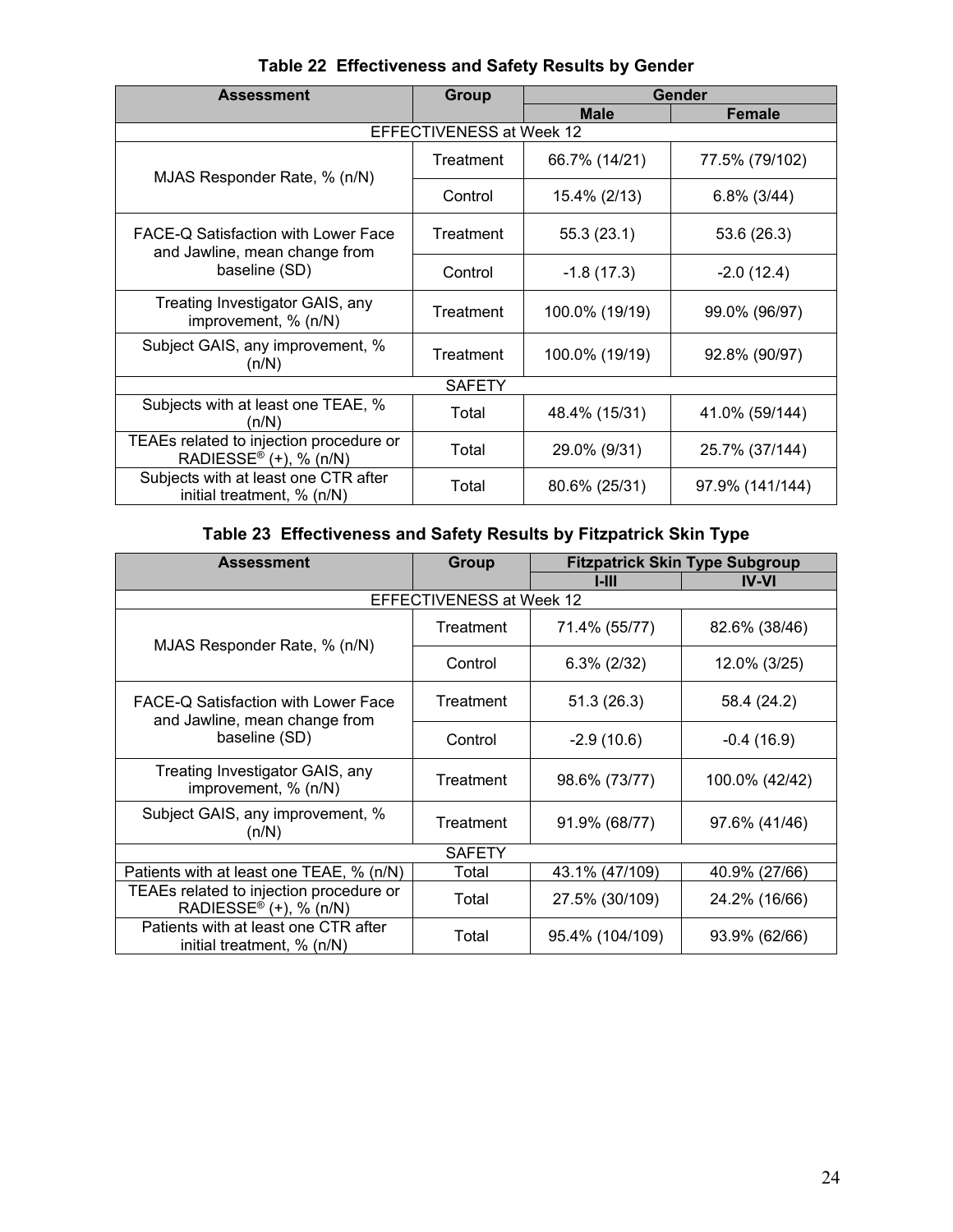| <b>Assessment</b>                                                                     | <b>Group</b> | Gender         |                 |  |
|---------------------------------------------------------------------------------------|--------------|----------------|-----------------|--|
|                                                                                       |              | <b>Male</b>    | <b>Female</b>   |  |
| EFFECTIVENESS at Week 12                                                              |              |                |                 |  |
| MJAS Responder Rate, % (n/N)                                                          | Treatment    | 66.7% (14/21)  | 77.5% (79/102)  |  |
|                                                                                       | Control      | 15.4% (2/13)   | $6.8\%$ (3/44)  |  |
| FACE-Q Satisfaction with Lower Face<br>and Jawline, mean change from<br>baseline (SD) | Treatment    | 55.3(23.1)     | 53.6 (26.3)     |  |
|                                                                                       | Control      | $-1.8(17.3)$   | $-2.0(12.4)$    |  |
| Treating Investigator GAIS, any<br>improvement, % (n/N)                               | Treatment    | 100.0% (19/19) | 99.0% (96/97)   |  |
| Subject GAIS, any improvement, %<br>(n/N)                                             | Treatment    | 100.0% (19/19) | 92.8% (90/97)   |  |
| <b>SAFETY</b>                                                                         |              |                |                 |  |
| Subjects with at least one TEAE, %<br>(n/N)                                           | Total        | 48.4% (15/31)  | 41.0% (59/144)  |  |
| TEAEs related to injection procedure or<br>RADIESSE® $(+)$ , % $(n/N)$                | Total        | 29.0% (9/31)   | 25.7% (37/144)  |  |
| Subjects with at least one CTR after<br>initial treatment, % (n/N)                    | Total        | 80.6% (25/31)  | 97.9% (141/144) |  |

**Table 22 Effectiveness and Safety Results by Gender** 

## **Table 23 Effectiveness and Safety Results by Fitzpatrick Skin Type**

| <b>Assessment</b>                                                                     | Group     | <b>Fitzpatrick Skin Type Subgroup</b> |                |  |  |
|---------------------------------------------------------------------------------------|-----------|---------------------------------------|----------------|--|--|
|                                                                                       |           | LIII                                  | <b>IV-VI</b>   |  |  |
| <b>EFFECTIVENESS at Week 12</b>                                                       |           |                                       |                |  |  |
| MJAS Responder Rate, % (n/N)                                                          | Treatment | 71.4% (55/77)                         | 82.6% (38/46)  |  |  |
|                                                                                       | Control   | $6.3\%$ (2/32)                        | 12.0% (3/25)   |  |  |
| FACE-Q Satisfaction with Lower Face<br>and Jawline, mean change from<br>baseline (SD) | Treatment | 51.3(26.3)                            | 58.4 (24.2)    |  |  |
|                                                                                       | Control   | $-2.9(10.6)$                          | $-0.4(16.9)$   |  |  |
| Treating Investigator GAIS, any<br>improvement, % (n/N)                               | Treatment | 98.6% (73/77)                         | 100.0% (42/42) |  |  |
| Subject GAIS, any improvement, %<br>(n/N)                                             | Treatment | 91.9% (68/77)                         | 97.6% (41/46)  |  |  |
| <b>SAFETY</b>                                                                         |           |                                       |                |  |  |
| Patients with at least one TEAE, % (n/N)                                              | Total     | 43.1% (47/109)                        | 40.9% (27/66)  |  |  |
| TEAEs related to injection procedure or<br>RADIESSE® $(+)$ , % $(n/N)$                | Total     | 27.5% (30/109)                        | 24.2% (16/66)  |  |  |
| Patients with at least one CTR after<br>initial treatment, $% (n/N)$                  | Total     | 95.4% (104/109)                       | 93.9% (62/66)  |  |  |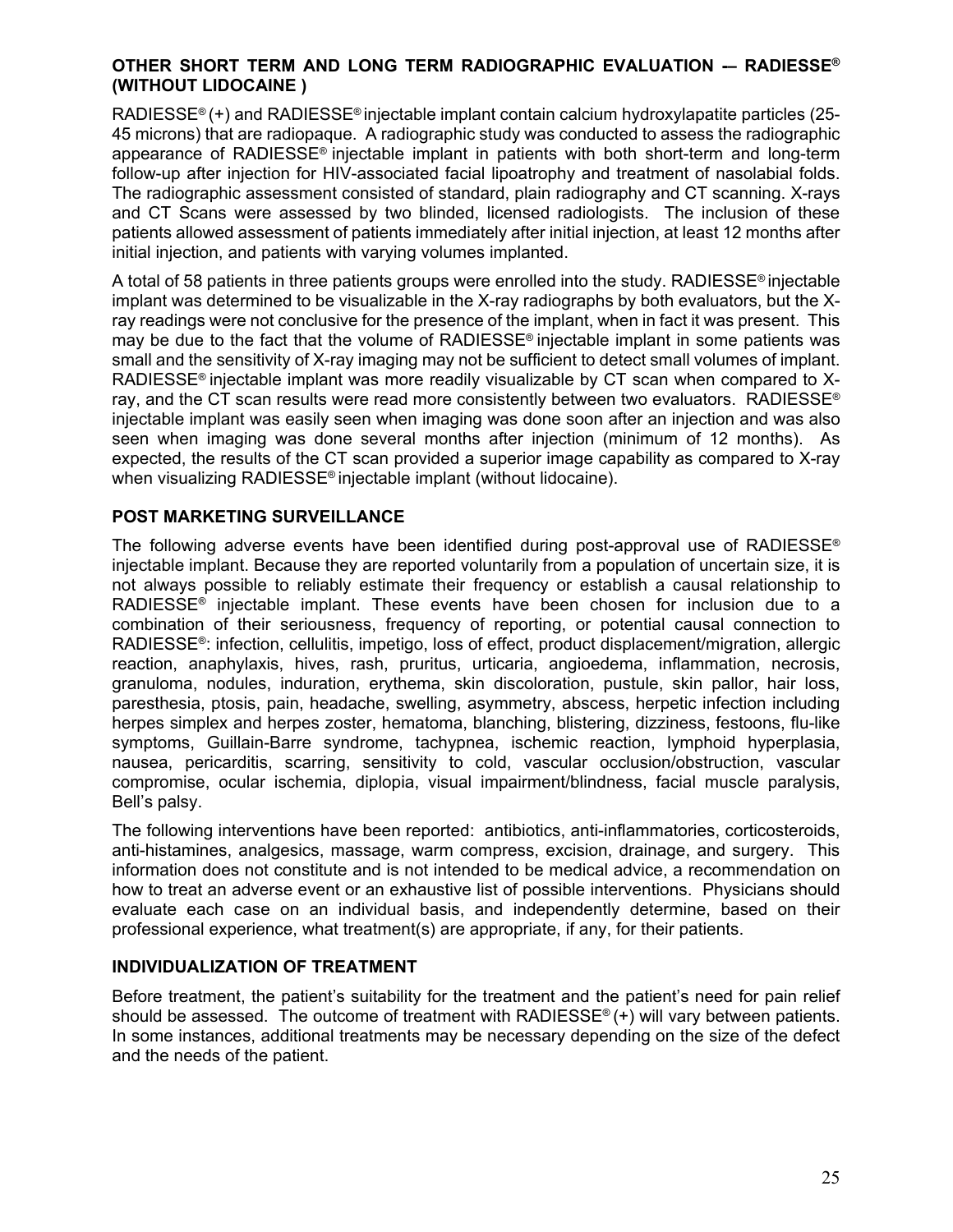#### **OTHER SHORT TERM AND LONG TERM RADIOGRAPHIC EVALUATION -– RADIESSE® (WITHOUT LIDOCAINE )**

RADIESSE® (+) and RADIESSE® injectable implant contain calcium hydroxylapatite particles (25- 45 microns) that are radiopaque. A radiographic study was conducted to assess the radiographic appearance of RADIESSE® injectable implant in patients with both short-term and long-term follow-up after injection for HIV-associated facial lipoatrophy and treatment of nasolabial folds. The radiographic assessment consisted of standard, plain radiography and CT scanning. X-rays and CT Scans were assessed by two blinded, licensed radiologists. The inclusion of these patients allowed assessment of patients immediately after initial injection, at least 12 months after initial injection, and patients with varying volumes implanted.

A total of 58 patients in three patients groups were enrolled into the study. RADIESSE® injectable implant was determined to be visualizable in the X-ray radiographs by both evaluators, but the Xray readings were not conclusive for the presence of the implant, when in fact it was present. This may be due to the fact that the volume of RADIESSE® injectable implant in some patients was small and the sensitivity of X-ray imaging may not be sufficient to detect small volumes of implant. RADIESSE<sup>®</sup> injectable implant was more readily visualizable by CT scan when compared to Xray, and the CT scan results were read more consistently between two evaluators. RADIESSE<sup>®</sup> injectable implant was easily seen when imaging was done soon after an injection and was also seen when imaging was done several months after injection (minimum of 12 months). As expected, the results of the CT scan provided a superior image capability as compared to X-ray when visualizing RADIESSE® injectable implant (without lidocaine).

#### **POST MARKETING SURVEILLANCE**

The following adverse events have been identified during post-approval use of RADIESSE<sup>®</sup> injectable implant. Because they are reported voluntarily from a population of uncertain size, it is not always possible to reliably estimate their frequency or establish a causal relationship to RADIESSE® injectable implant. These events have been chosen for inclusion due to a combination of their seriousness, frequency of reporting, or potential causal connection to RADIESSE®: infection, cellulitis, impetigo, loss of effect, product displacement/migration, allergic reaction, anaphylaxis, hives, rash, pruritus, urticaria, angioedema, inflammation, necrosis, granuloma, nodules, induration, erythema, skin discoloration, pustule, skin pallor, hair loss, paresthesia, ptosis, pain, headache, swelling, asymmetry, abscess, herpetic infection including herpes simplex and herpes zoster, hematoma, blanching, blistering, dizziness, festoons, flu-like symptoms, Guillain-Barre syndrome, tachypnea, ischemic reaction, lymphoid hyperplasia, nausea, pericarditis, scarring, sensitivity to cold, vascular occlusion/obstruction, vascular compromise, ocular ischemia, diplopia, visual impairment/blindness, facial muscle paralysis, Bell's palsy.

The following interventions have been reported: antibiotics, anti-inflammatories, corticosteroids, anti-histamines, analgesics, massage, warm compress, excision, drainage, and surgery. This information does not constitute and is not intended to be medical advice, a recommendation on how to treat an adverse event or an exhaustive list of possible interventions. Physicians should evaluate each case on an individual basis, and independently determine, based on their professional experience, what treatment(s) are appropriate, if any, for their patients.

#### **INDIVIDUALIZATION OF TREATMENT**

Before treatment, the patient's suitability for the treatment and the patient's need for pain relief should be assessed. The outcome of treatment with RADIESSE<sup>®</sup> (+) will vary between patients. In some instances, additional treatments may be necessary depending on the size of the defect and the needs of the patient.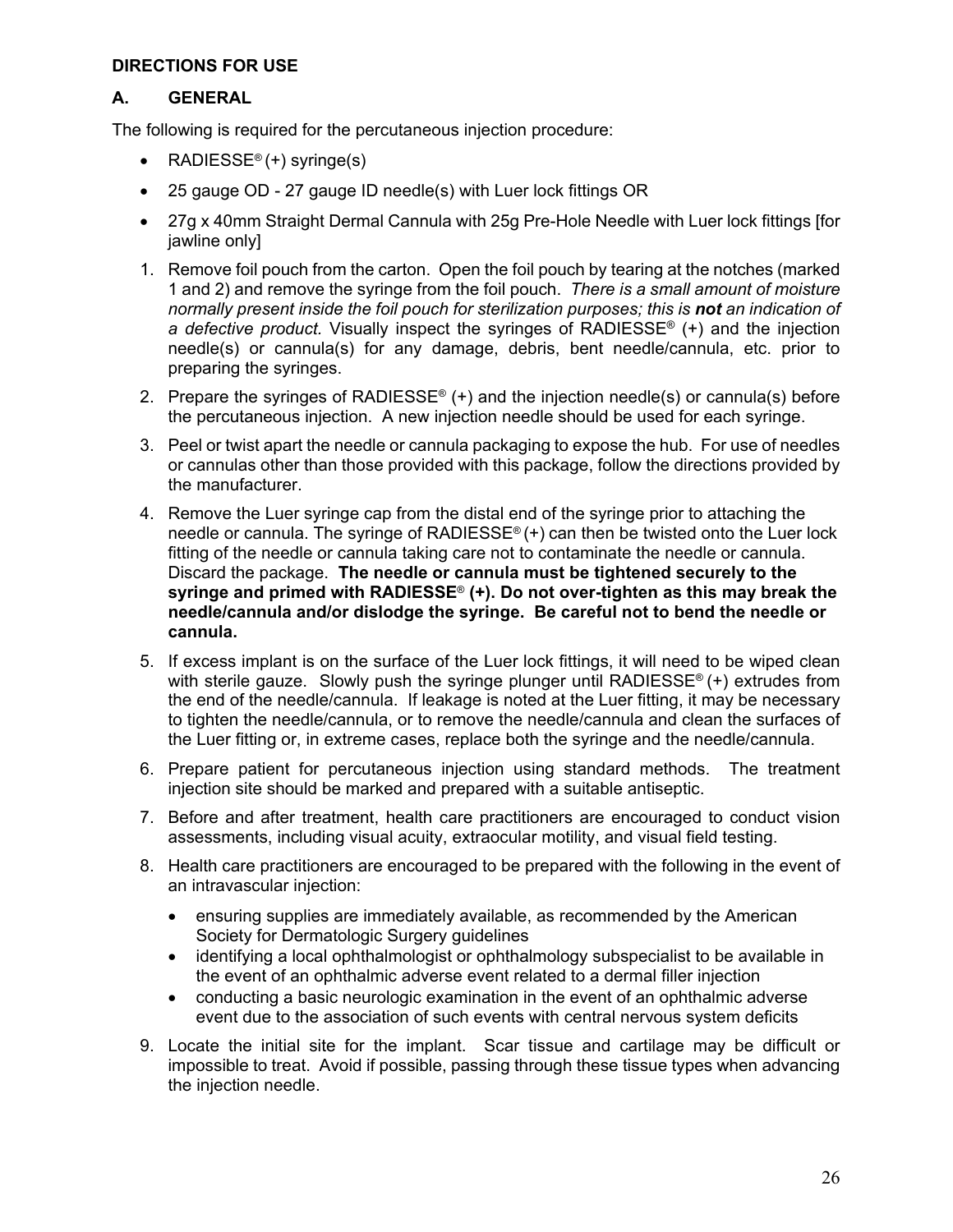#### **DIRECTIONS FOR USE**

#### **A. GENERAL**

The following is required for the percutaneous injection procedure:

- RADIESSE<sup>®</sup> (+) syringe(s)
- 25 gauge OD 27 gauge ID needle(s) with Luer lock fittings OR
- 27g x 40mm Straight Dermal Cannula with 25g Pre-Hole Needle with Luer lock fittings [for jawline only]
- 1. Remove foil pouch from the carton. Open the foil pouch by tearing at the notches (marked 1 and 2) and remove the syringe from the foil pouch. *There is a small amount of moisture normally present inside the foil pouch for sterilization purposes; this is not an indication of a defective product.* Visually inspect the syringes of RADIESSE® (+) and the injection needle(s) or cannula(s) for any damage, debris, bent needle/cannula, etc. prior to preparing the syringes.
- 2. Prepare the syringes of RADIESSE<sup>®</sup> (+) and the injection needle(s) or cannula(s) before the percutaneous injection. A new injection needle should be used for each syringe.
- 3. Peel or twist apart the needle or cannula packaging to expose the hub. For use of needles or cannulas other than those provided with this package, follow the directions provided by the manufacturer.
- 4. Remove the Luer syringe cap from the distal end of the syringe prior to attaching the needle or cannula. The syringe of RADIESSE<sup>®</sup> $(+)$  can then be twisted onto the Luer lock fitting of the needle or cannula taking care not to contaminate the needle or cannula. Discard the package. **The needle or cannula must be tightened securely to the syringe and primed with RADIESSE**® **(+). Do not over-tighten as this may break the needle/cannula and/or dislodge the syringe. Be careful not to bend the needle or cannula.**
- 5. If excess implant is on the surface of the Luer lock fittings, it will need to be wiped clean with sterile gauze. Slowly push the syringe plunger until RADIESSE<sup>®</sup>  $(+)$  extrudes from the end of the needle/cannula. If leakage is noted at the Luer fitting, it may be necessary to tighten the needle/cannula, or to remove the needle/cannula and clean the surfaces of the Luer fitting or, in extreme cases, replace both the syringe and the needle/cannula.
- 6. Prepare patient for percutaneous injection using standard methods. The treatment injection site should be marked and prepared with a suitable antiseptic.
- 7. Before and after treatment, health care practitioners are encouraged to conduct vision assessments, including visual acuity, extraocular motility, and visual field testing.
- 8. Health care practitioners are encouraged to be prepared with the following in the event of an intravascular injection:
	- ensuring supplies are immediately available, as recommended by the American Society for Dermatologic Surgery guidelines
	- identifying a local ophthalmologist or ophthalmology subspecialist to be available in the event of an ophthalmic adverse event related to a dermal filler injection
	- conducting a basic neurologic examination in the event of an ophthalmic adverse event due to the association of such events with central nervous system deficits
- 9. Locate the initial site for the implant. Scar tissue and cartilage may be difficult or impossible to treat. Avoid if possible, passing through these tissue types when advancing the injection needle.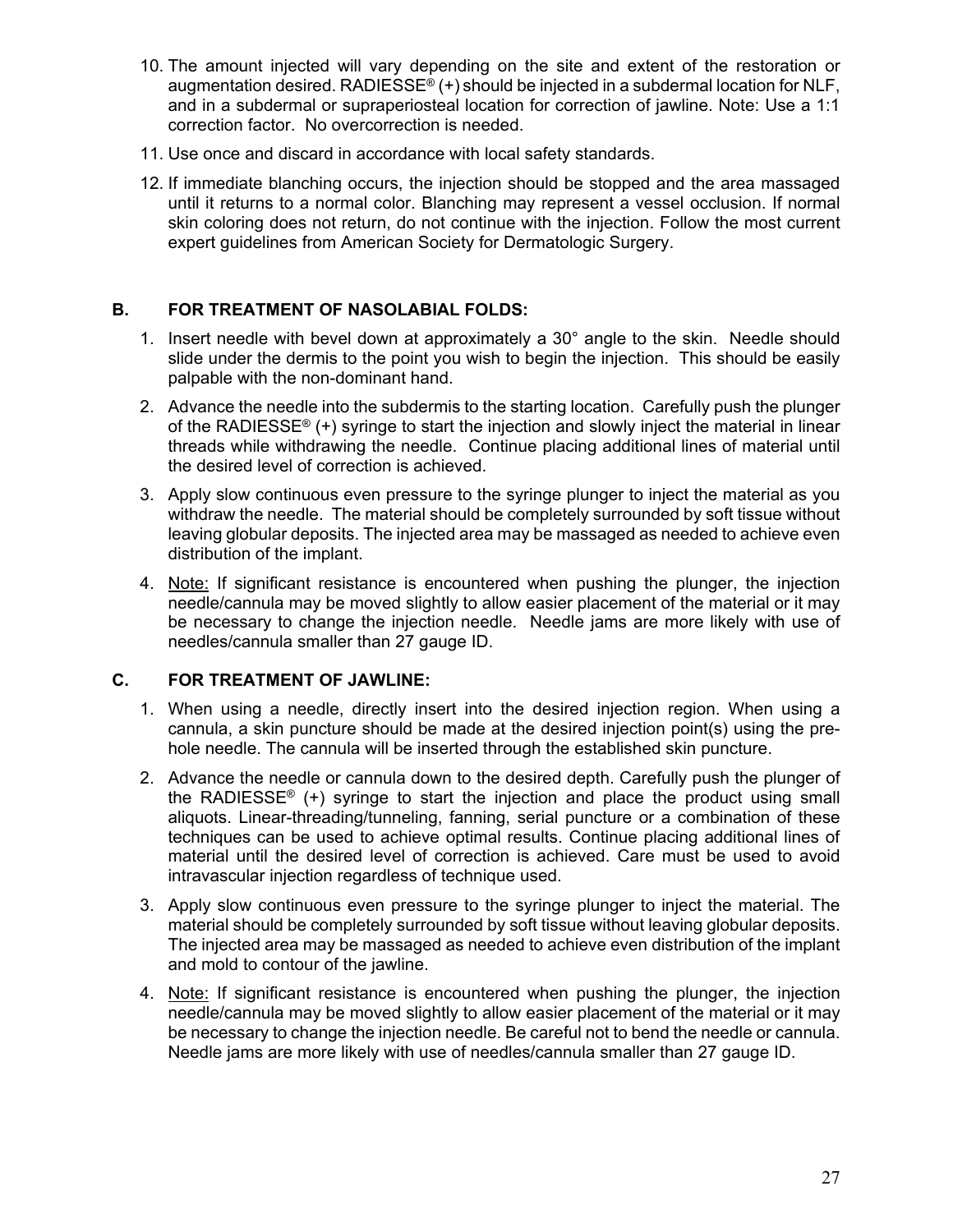- 10. The amount injected will vary depending on the site and extent of the restoration or augmentation desired. RADIESSE<sup>®</sup>  $(+)$  should be injected in a subdermal location for NLF, and in a subdermal or supraperiosteal location for correction of jawline. Note: Use a 1:1 correction factor. No overcorrection is needed.
- 11. Use once and discard in accordance with local safety standards.
- 12. If immediate blanching occurs, the injection should be stopped and the area massaged until it returns to a normal color. Blanching may represent a vessel occlusion. If normal skin coloring does not return, do not continue with the injection. Follow the most current expert guidelines from American Society for Dermatologic Surgery.

#### **B. FOR TREATMENT OF NASOLABIAL FOLDS:**

- 1. Insert needle with bevel down at approximately a 30° angle to the skin. Needle should slide under the dermis to the point you wish to begin the injection. This should be easily palpable with the non-dominant hand.
- 2. Advance the needle into the subdermis to the starting location. Carefully push the plunger of the RADIESSE<sup>®</sup> (+) syringe to start the injection and slowly inject the material in linear threads while withdrawing the needle. Continue placing additional lines of material until the desired level of correction is achieved.
- 3. Apply slow continuous even pressure to the syringe plunger to inject the material as you withdraw the needle. The material should be completely surrounded by soft tissue without leaving globular deposits. The injected area may be massaged as needed to achieve even distribution of the implant.
- 4. Note: If significant resistance is encountered when pushing the plunger, the injection needle/cannula may be moved slightly to allow easier placement of the material or it may be necessary to change the injection needle. Needle jams are more likely with use of needles/cannula smaller than 27 gauge ID.

#### **C. FOR TREATMENT OF JAWLINE:**

- 1. When using a needle, directly insert into the desired injection region. When using a cannula, a skin puncture should be made at the desired injection point(s) using the prehole needle. The cannula will be inserted through the established skin puncture.
- 2. Advance the needle or cannula down to the desired depth. Carefully push the plunger of the RADIESSE<sup>®</sup> (+) syringe to start the injection and place the product using small aliquots. Linear-threading/tunneling, fanning, serial puncture or a combination of these techniques can be used to achieve optimal results. Continue placing additional lines of material until the desired level of correction is achieved. Care must be used to avoid intravascular injection regardless of technique used.
- 3. Apply slow continuous even pressure to the syringe plunger to inject the material. The material should be completely surrounded by soft tissue without leaving globular deposits. The injected area may be massaged as needed to achieve even distribution of the implant and mold to contour of the jawline.
- 4. Note: If significant resistance is encountered when pushing the plunger, the injection needle/cannula may be moved slightly to allow easier placement of the material or it may be necessary to change the injection needle. Be careful not to bend the needle or cannula. Needle jams are more likely with use of needles/cannula smaller than 27 gauge ID.